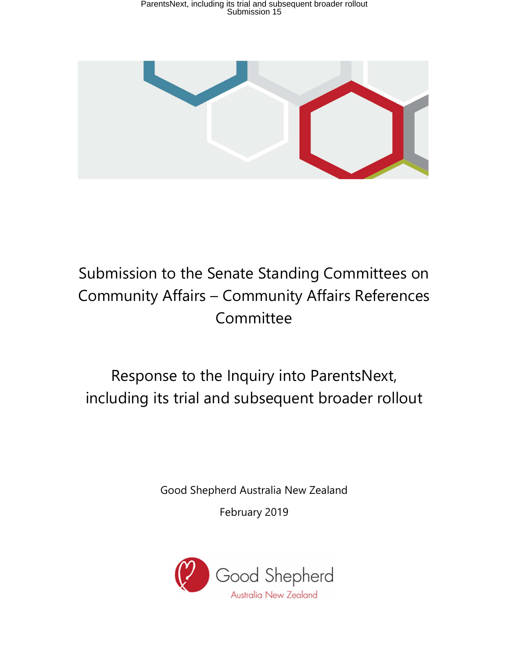

# Submission to the Senate Standing Committees on Community Affairs – Community Affairs References Committee

# Response to the Inquiry into ParentsNext, including its trial and subsequent broader rollout

Good Shepherd Australia New Zealand

February 2019

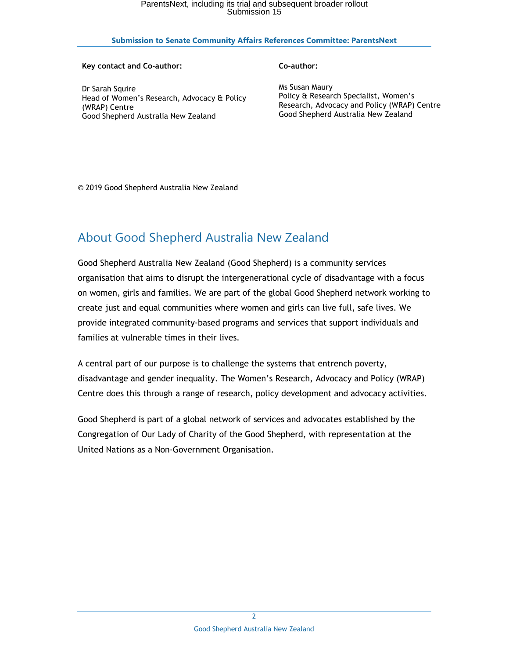### **Submission to Senate Community Affairs References Committee: ParentsNext**

#### **Key contact and Co-author:**

#### **Co-author:**

Dr Sarah Squire Head of Women's Research, Advocacy & Policy (WRAP) Centre Good Shepherd Australia New Zealand

Ms Susan Maury Policy & Research Specialist, Women's Research, Advocacy and Policy (WRAP) Centre Good Shepherd Australia New Zealand

© 2019 Good Shepherd Australia New Zealand

# About Good Shepherd Australia New Zealand

Good Shepherd Australia New Zealand (Good Shepherd) is a community services organisation that aims to disrupt the intergenerational cycle of disadvantage with a focus on women, girls and families. We are part of the global Good Shepherd network working to create just and equal communities where women and girls can live full, safe lives. We provide integrated community-based programs and services that support individuals and families at vulnerable times in their lives.

A central part of our purpose is to challenge the systems that entrench poverty, disadvantage and gender inequality. The Women's Research, Advocacy and Policy (WRAP) Centre does this through a range of research, policy development and advocacy activities.

Good Shepherd is part of a global network of services and advocates established by the Congregation of Our Lady of Charity of the Good Shepherd, with representation at the United Nations as a Non-Government Organisation.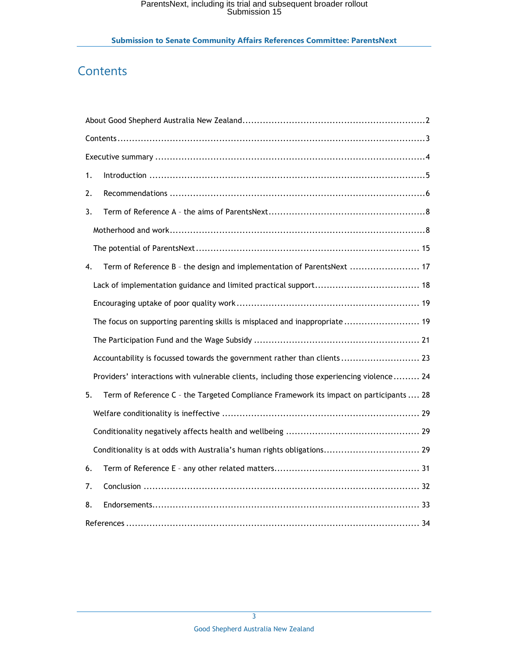# **Contents**

| 1. |                                                                                           |
|----|-------------------------------------------------------------------------------------------|
| 2. |                                                                                           |
| 3. |                                                                                           |
|    |                                                                                           |
|    |                                                                                           |
| 4. | Term of Reference B - the design and implementation of ParentsNext  17                    |
|    |                                                                                           |
|    |                                                                                           |
|    | The focus on supporting parenting skills is misplaced and inappropriate 19                |
|    |                                                                                           |
|    | Accountability is focussed towards the government rather than clients  23                 |
|    | Providers' interactions with vulnerable clients, including those experiencing violence 24 |
| 5. | Term of Reference C - the Targeted Compliance Framework its impact on participants  28    |
|    |                                                                                           |
|    |                                                                                           |
|    | Conditionality is at odds with Australia's human rights obligations 29                    |
| 6. |                                                                                           |
| 7. |                                                                                           |
| 8. |                                                                                           |
|    |                                                                                           |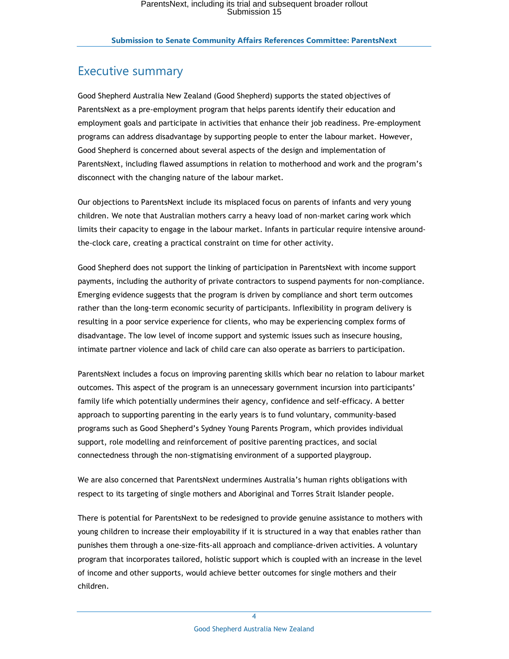# Executive summary

Good Shepherd Australia New Zealand (Good Shepherd) supports the stated objectives of ParentsNext as a pre-employment program that helps parents identify their education and employment goals and participate in activities that enhance their job readiness. Pre-employment programs can address disadvantage by supporting people to enter the labour market. However, Good Shepherd is concerned about several aspects of the design and implementation of ParentsNext, including flawed assumptions in relation to motherhood and work and the program's disconnect with the changing nature of the labour market.

Our objections to ParentsNext include its misplaced focus on parents of infants and very young children. We note that Australian mothers carry a heavy load of non-market caring work which limits their capacity to engage in the labour market. Infants in particular require intensive aroundthe-clock care, creating a practical constraint on time for other activity.

Good Shepherd does not support the linking of participation in ParentsNext with income support payments, including the authority of private contractors to suspend payments for non-compliance. Emerging evidence suggests that the program is driven by compliance and short term outcomes rather than the long-term economic security of participants. Inflexibility in program delivery is resulting in a poor service experience for clients, who may be experiencing complex forms of disadvantage. The low level of income support and systemic issues such as insecure housing, intimate partner violence and lack of child care can also operate as barriers to participation.

ParentsNext includes a focus on improving parenting skills which bear no relation to labour market outcomes. This aspect of the program is an unnecessary government incursion into participants' family life which potentially undermines their agency, confidence and self-efficacy. A better approach to supporting parenting in the early years is to fund voluntary, community-based programs such as Good Shepherd's Sydney Young Parents Program, which provides individual support, role modelling and reinforcement of positive parenting practices, and social connectedness through the non-stigmatising environment of a supported playgroup.

We are also concerned that ParentsNext undermines Australia's human rights obligations with respect to its targeting of single mothers and Aboriginal and Torres Strait Islander people.

There is potential for ParentsNext to be redesigned to provide genuine assistance to mothers with young children to increase their employability if it is structured in a way that enables rather than punishes them through a one-size-fits-all approach and compliance-driven activities. A voluntary program that incorporates tailored, holistic support which is coupled with an increase in the level of income and other supports, would achieve better outcomes for single mothers and their children.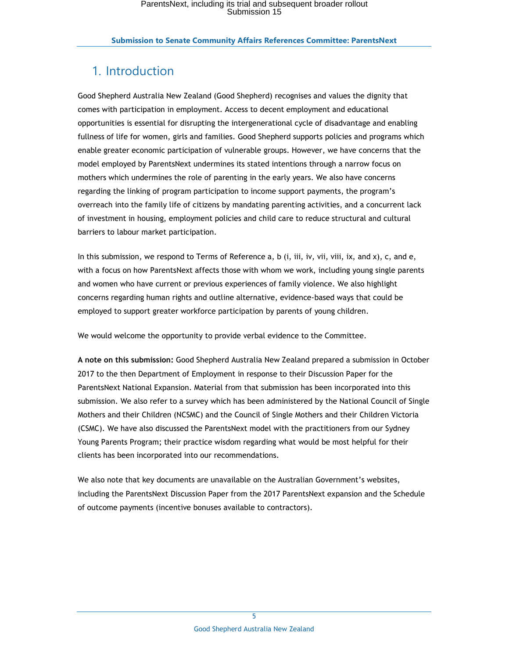# 1. Introduction

Good Shepherd Australia New Zealand (Good Shepherd) recognises and values the dignity that comes with participation in employment. Access to decent employment and educational opportunities is essential for disrupting the intergenerational cycle of disadvantage and enabling fullness of life for women, girls and families. Good Shepherd supports policies and programs which enable greater economic participation of vulnerable groups. However, we have concerns that the model employed by ParentsNext undermines its stated intentions through a narrow focus on mothers which undermines the role of parenting in the early years. We also have concerns regarding the linking of program participation to income support payments, the program's overreach into the family life of citizens by mandating parenting activities, and a concurrent lack of investment in housing, employment policies and child care to reduce structural and cultural barriers to labour market participation.

In this submission, we respond to Terms of Reference a, b (i, iii, iv, vii, viii, ix, and x), c, and e, with a focus on how ParentsNext affects those with whom we work, including young single parents and women who have current or previous experiences of family violence. We also highlight concerns regarding human rights and outline alternative, evidence-based ways that could be employed to support greater workforce participation by parents of young children.

We would welcome the opportunity to provide verbal evidence to the Committee.

**A note on this submission:** Good Shepherd Australia New Zealand prepared a submission in October 2017 to the then Department of Employment in response to their Discussion Paper for the ParentsNext National Expansion. Material from that submission has been incorporated into this submission. We also refer to a survey which has been administered by the National Council of Single Mothers and their Children (NCSMC) and the Council of Single Mothers and their Children Victoria (CSMC). We have also discussed the ParentsNext model with the practitioners from our Sydney Young Parents Program; their practice wisdom regarding what would be most helpful for their clients has been incorporated into our recommendations.

We also note that key documents are unavailable on the Australian Government's websites, including the ParentsNext Discussion Paper from the 2017 ParentsNext expansion and the Schedule of outcome payments (incentive bonuses available to contractors).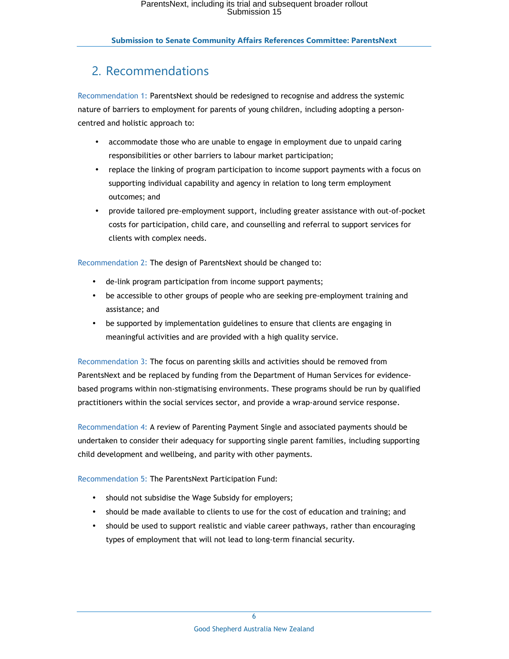# 2. Recommendations

Recommendation 1: ParentsNext should be redesigned to recognise and address the systemic nature of barriers to employment for parents of young children, including adopting a personcentred and holistic approach to:

- accommodate those who are unable to engage in employment due to unpaid caring responsibilities or other barriers to labour market participation;
- replace the linking of program participation to income support payments with a focus on supporting individual capability and agency in relation to long term employment outcomes; and
- provide tailored pre-employment support, including greater assistance with out-of-pocket costs for participation, child care, and counselling and referral to support services for clients with complex needs.

Recommendation 2: The design of ParentsNext should be changed to:

- de-link program participation from income support payments;
- be accessible to other groups of people who are seeking pre-employment training and assistance; and
- be supported by implementation guidelines to ensure that clients are engaging in meaningful activities and are provided with a high quality service.

Recommendation 3: The focus on parenting skills and activities should be removed from ParentsNext and be replaced by funding from the Department of Human Services for evidencebased programs within non-stigmatising environments. These programs should be run by qualified practitioners within the social services sector, and provide a wrap-around service response.

Recommendation 4: A review of Parenting Payment Single and associated payments should be undertaken to consider their adequacy for supporting single parent families, including supporting child development and wellbeing, and parity with other payments.

Recommendation 5: The ParentsNext Participation Fund:

- should not subsidise the Wage Subsidy for employers;
- should be made available to clients to use for the cost of education and training; and
- should be used to support realistic and viable career pathways, rather than encouraging types of employment that will not lead to long-term financial security.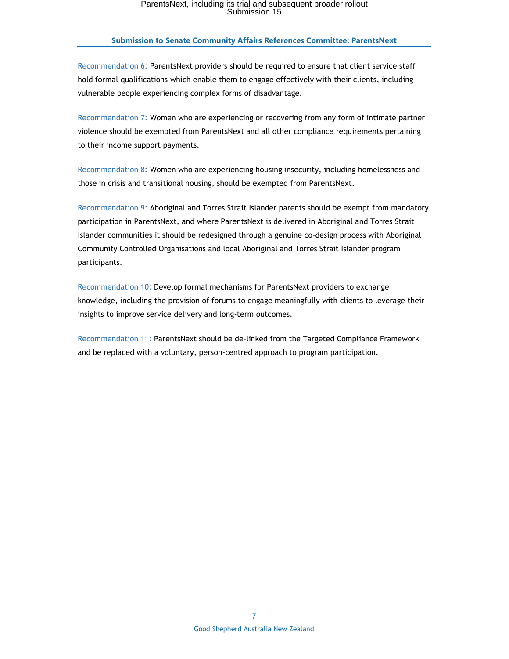Recommendation 6: ParentsNext providers should be required to ensure that client service staff hold formal qualifications which enable them to engage effectively with their clients, including vulnerable people experiencing complex forms of disadvantage.

Recommendation 7: Women who are experiencing or recovering from any form of intimate partner violence should be exempted from ParentsNext and all other compliance requirements pertaining to their income support payments.

Recommendation 8: Women who are experiencing housing insecurity, including homelessness and those in crisis and transitional housing, should be exempted from ParentsNext.

Recommendation 9: Aboriginal and Torres Strait Islander parents should be exempt from mandatory participation in ParentsNext, and where ParentsNext is delivered in Aboriginal and Torres Strait Islander communities it should be redesigned through a genuine co-design process with Aboriginal Community Controlled Organisations and local Aboriginal and Torres Strait Islander program participants.

Recommendation 10: Develop formal mechanisms for ParentsNext providers to exchange knowledge, including the provision of forums to engage meaningfully with clients to leverage their insights to improve service delivery and long-term outcomes.

Recommendation 11: ParentsNext should be de-linked from the Targeted Compliance Framework and be replaced with a voluntary, person-centred approach to program participation.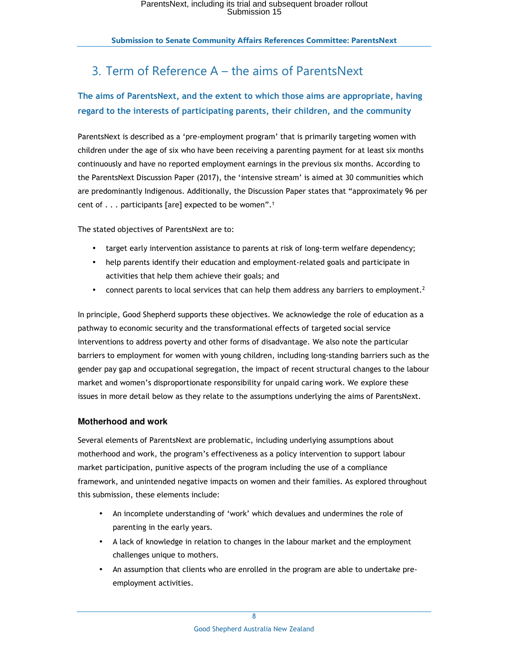# 3. Term of Reference A – the aims of ParentsNext

# **The aims of ParentsNext, and the extent to which those aims are appropriate, having regard to the interests of participating parents, their children, and the community**

ParentsNext is described as a 'pre-employment program' that is primarily targeting women with children under the age of six who have been receiving a parenting payment for at least six months continuously and have no reported employment earnings in the previous six months. According to the ParentsNext Discussion Paper (2017), the 'intensive stream' is aimed at 30 communities which are predominantly Indigenous. Additionally, the Discussion Paper states that "approximately 96 per cent of . . . participants [are] expected to be women".<sup>1</sup>

The stated objectives of ParentsNext are to:

- target early intervention assistance to parents at risk of long-term welfare dependency;
- help parents identify their education and employment-related goals and participate in activities that help them achieve their goals; and
- connect parents to local services that can help them address any barriers to employment.<sup>2</sup>

In principle, Good Shepherd supports these objectives. We acknowledge the role of education as a pathway to economic security and the transformational effects of targeted social service interventions to address poverty and other forms of disadvantage. We also note the particular barriers to employment for women with young children, including long-standing barriers such as the gender pay gap and occupational segregation, the impact of recent structural changes to the labour market and women's disproportionate responsibility for unpaid caring work. We explore these issues in more detail below as they relate to the assumptions underlying the aims of ParentsNext.

## **Motherhood and work**

Several elements of ParentsNext are problematic, including underlying assumptions about motherhood and work, the program's effectiveness as a policy intervention to support labour market participation, punitive aspects of the program including the use of a compliance framework, and unintended negative impacts on women and their families. As explored throughout this submission, these elements include:

- An incomplete understanding of 'work' which devalues and undermines the role of parenting in the early years.
- A lack of knowledge in relation to changes in the labour market and the employment challenges unique to mothers.
- An assumption that clients who are enrolled in the program are able to undertake preemployment activities.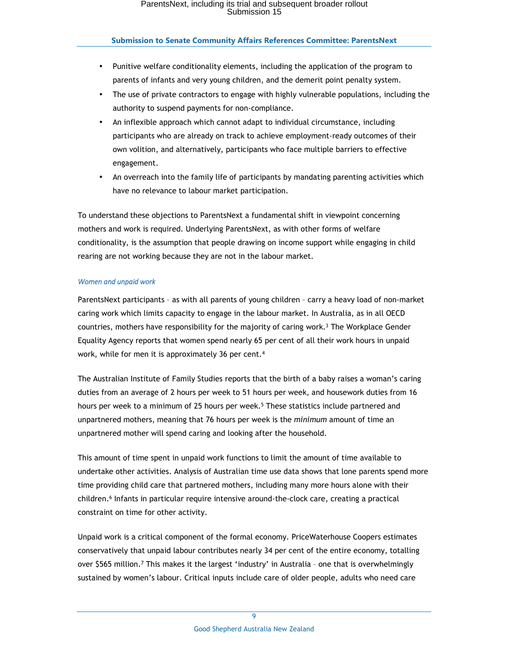- Punitive welfare conditionality elements, including the application of the program to parents of infants and very young children, and the demerit point penalty system.
- The use of private contractors to engage with highly vulnerable populations, including the authority to suspend payments for non-compliance.
- An inflexible approach which cannot adapt to individual circumstance, including participants who are already on track to achieve employment-ready outcomes of their own volition, and alternatively, participants who face multiple barriers to effective engagement.
- An overreach into the family life of participants by mandating parenting activities which have no relevance to labour market participation.

To understand these objections to ParentsNext a fundamental shift in viewpoint concerning mothers and work is required. Underlying ParentsNext, as with other forms of welfare conditionality, is the assumption that people drawing on income support while engaging in child rearing are not working because they are not in the labour market.

### *Women and unpaid work*

ParentsNext participants – as with all parents of young children – carry a heavy load of non-market caring work which limits capacity to engage in the labour market. In Australia, as in all OECD countries, mothers have responsibility for the majority of caring work.<sup>3</sup> The Workplace Gender Equality Agency reports that women spend nearly 65 per cent of all their work hours in unpaid work, while for men it is approximately 36 per cent. 4

The Australian Institute of Family Studies reports that the birth of a baby raises a woman's caring duties from an average of 2 hours per week to 51 hours per week, and housework duties from 16 hours per week to a minimum of 25 hours per week.<sup>5</sup> These statistics include partnered and unpartnered mothers, meaning that 76 hours per week is the *minimum* amount of time an unpartnered mother will spend caring and looking after the household.

This amount of time spent in unpaid work functions to limit the amount of time available to undertake other activities. Analysis of Australian time use data shows that lone parents spend more time providing child care that partnered mothers, including many more hours alone with their children.<sup>6</sup> Infants in particular require intensive around-the-clock care, creating a practical constraint on time for other activity.

Unpaid work is a critical component of the formal economy. PriceWaterhouse Coopers estimates conservatively that unpaid labour contributes nearly 34 per cent of the entire economy, totalling over \$565 million.<sup>7</sup> This makes it the largest 'industry' in Australia - one that is overwhelmingly sustained by women's labour. Critical inputs include care of older people, adults who need care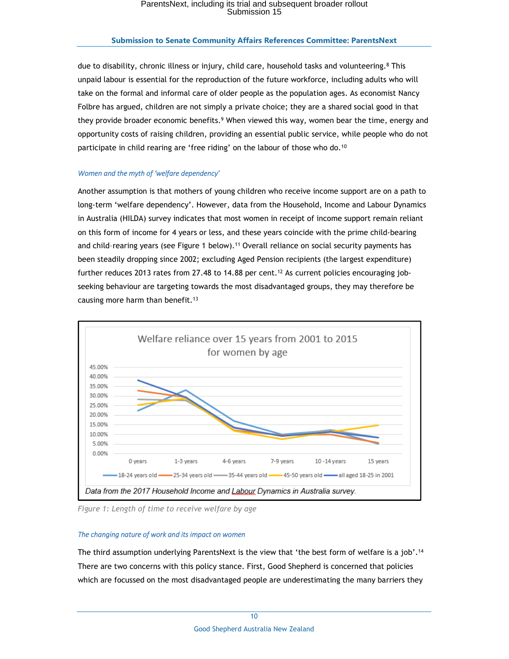#### **Submission to Senate Community Affairs References Committee: ParentsNext**

due to disability, chronic illness or injury, child care, household tasks and volunteering.<sup>8</sup> This unpaid labour is essential for the reproduction of the future workforce, including adults who will take on the formal and informal care of older people as the population ages. As economist Nancy Folbre has argued, children are not simply a private choice; they are a shared social good in that they provide broader economic benefits.<sup>9</sup> When viewed this way, women bear the time, energy and opportunity costs of raising children, providing an essential public service, while people who do not participate in child rearing are 'free riding' on the labour of those who do.<sup>10</sup>

#### *Women and the myth of 'welfare dependency'*

Another assumption is that mothers of young children who receive income support are on a path to long-term 'welfare dependency'. However, data from the Household, Income and Labour Dynamics in Australia (HILDA) survey indicates that most women in receipt of income support remain reliant on this form of income for 4 years or less, and these years coincide with the prime child-bearing and child-rearing years (see Figure 1 below).<sup>11</sup> Overall reliance on social security payments has been steadily dropping since 2002; excluding Aged Pension recipients (the largest expenditure) further reduces 2013 rates from 27.48 to 14.88 per cent.<sup>12</sup> As current policies encouraging jobseeking behaviour are targeting towards the most disadvantaged groups, they may therefore be causing more harm than benefit.<sup>13</sup>



*Figure 1: Length of time to receive welfare by age*

#### *The changing nature of work and its impact on women*

The third assumption underlying ParentsNext is the view that 'the best form of welfare is a job'.<sup>14</sup> There are two concerns with this policy stance. First, Good Shepherd is concerned that policies which are focussed on the most disadvantaged people are underestimating the many barriers they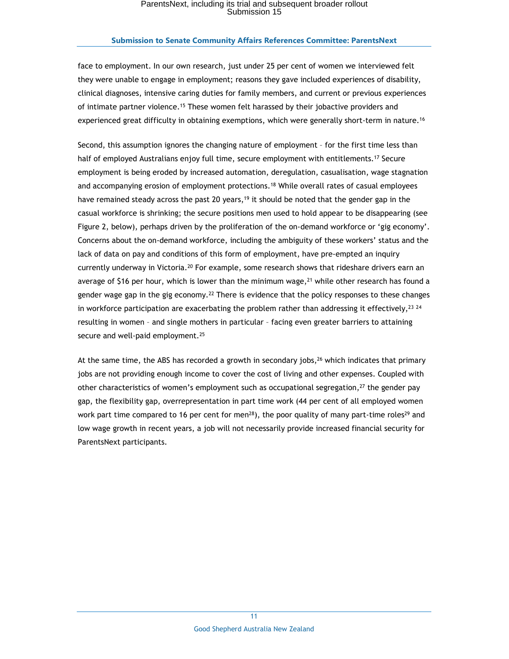#### **Submission to Senate Community Affairs References Committee: ParentsNext**

face to employment. In our own research, just under 25 per cent of women we interviewed felt they were unable to engage in employment; reasons they gave included experiences of disability, clinical diagnoses, intensive caring duties for family members, and current or previous experiences of intimate partner violence.<sup>15</sup> These women felt harassed by their jobactive providers and experienced great difficulty in obtaining exemptions, which were generally short-term in nature.<sup>16</sup>

Second, this assumption ignores the changing nature of employment – for the first time less than half of employed Australians enjoy full time, secure employment with entitlements.<sup>17</sup> Secure employment is being eroded by increased automation, deregulation, casualisation, wage stagnation and accompanying erosion of employment protections.<sup>18</sup> While overall rates of casual employees have remained steady across the past 20 years,<sup>19</sup> it should be noted that the gender gap in the casual workforce is shrinking; the secure positions men used to hold appear to be disappearing (see Figure 2, below), perhaps driven by the proliferation of the on-demand workforce or 'gig economy'. Concerns about the on-demand workforce, including the ambiguity of these workers' status and the lack of data on pay and conditions of this form of employment, have pre-empted an inquiry currently underway in Victoria.<sup>20</sup> For example, some research shows that rideshare drivers earn an average of \$16 per hour, which is lower than the minimum wage, $2<sup>1</sup>$  while other research has found a gender wage gap in the gig economy.<sup>22</sup> There is evidence that the policy responses to these changes in workforce participation are exacerbating the problem rather than addressing it effectively,  $^{23}$   $^{24}$ resulting in women – and single mothers in particular – facing even greater barriers to attaining secure and well-paid employment.<sup>25</sup>

At the same time, the ABS has recorded a growth in secondary jobs, $26$  which indicates that primary jobs are not providing enough income to cover the cost of living and other expenses. Coupled with other characteristics of women's employment such as occupational segregation, $27$  the gender pay gap, the flexibility gap, overrepresentation in part time work (44 per cent of all employed women work part time compared to 16 per cent for men<sup>28</sup>), the poor quality of many part-time roles<sup>29</sup> and low wage growth in recent years, a job will not necessarily provide increased financial security for ParentsNext participants.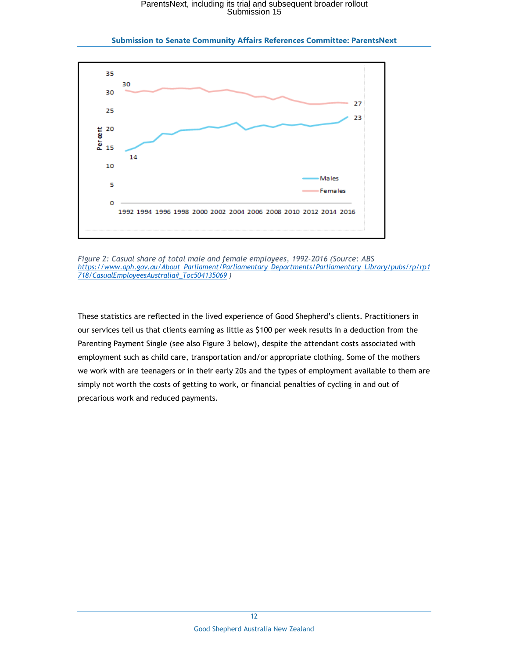

**Submission to Senate Community Affairs References Committee: ParentsNext** 

*Figure 2: Casual share of total male and female employees, 1992-2016 (Source: ABS https://www.aph.gov.au/About\_Parliament/Parliamentary\_Departments/Parliamentary\_Library/pubs/rp/rp1 718/CasualEmployeesAustralia#\_Toc504135069 )* 

These statistics are reflected in the lived experience of Good Shepherd's clients. Practitioners in our services tell us that clients earning as little as \$100 per week results in a deduction from the Parenting Payment Single (see also Figure 3 below), despite the attendant costs associated with employment such as child care, transportation and/or appropriate clothing. Some of the mothers we work with are teenagers or in their early 20s and the types of employment available to them are simply not worth the costs of getting to work, or financial penalties of cycling in and out of precarious work and reduced payments.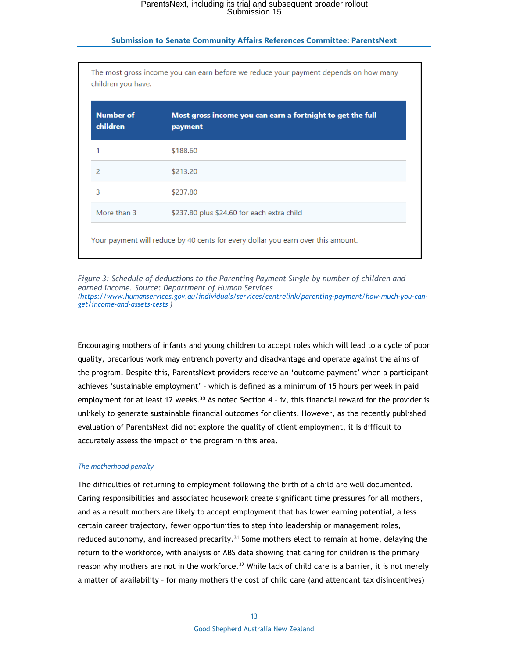| <b>Number of</b><br>children | Most gross income you can earn a fortnight to get the full<br>payment |
|------------------------------|-----------------------------------------------------------------------|
|                              | \$188.60                                                              |
| $\overline{2}$               | \$213.20                                                              |
| 3                            | \$237.80                                                              |
| More than 3                  | \$237.80 plus \$24.60 for each extra child                            |

*Figure 3: Schedule of deductions to the Parenting Payment Single by number of children and earned income. Source: Department of Human Services (https://www.humanservices.gov.au/individuals/services/centrelink/parenting-payment/how-much-you-canget/income-and-assets-tests )* 

Encouraging mothers of infants and young children to accept roles which will lead to a cycle of poor quality, precarious work may entrench poverty and disadvantage and operate against the aims of the program. Despite this, ParentsNext providers receive an 'outcome payment' when a participant achieves 'sustainable employment' – which is defined as a minimum of 15 hours per week in paid employment for at least 12 weeks.<sup>30</sup> As noted Section 4 - iv, this financial reward for the provider is unlikely to generate sustainable financial outcomes for clients. However, as the recently published evaluation of ParentsNext did not explore the quality of client employment, it is difficult to accurately assess the impact of the program in this area.

### *The motherhood penalty*

The difficulties of returning to employment following the birth of a child are well documented. Caring responsibilities and associated housework create significant time pressures for all mothers, and as a result mothers are likely to accept employment that has lower earning potential, a less certain career trajectory, fewer opportunities to step into leadership or management roles, reduced autonomy, and increased precarity.<sup>31</sup> Some mothers elect to remain at home, delaying the return to the workforce, with analysis of ABS data showing that caring for children is the primary reason why mothers are not in the workforce.<sup>32</sup> While lack of child care is a barrier, it is not merely a matter of availability – for many mothers the cost of child care (and attendant tax disincentives)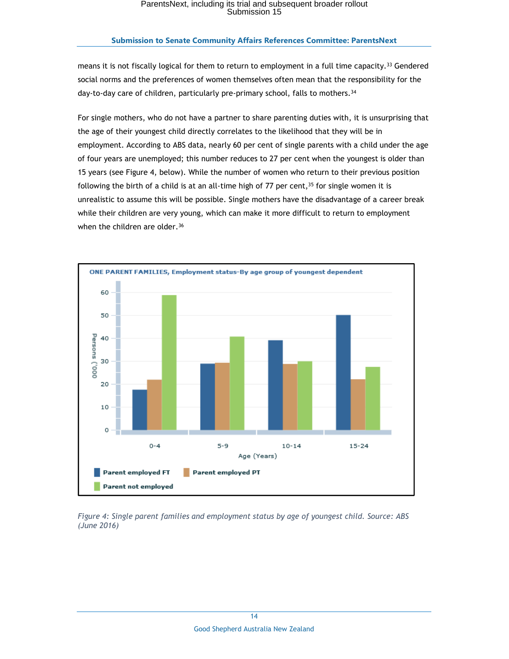### **Submission to Senate Community Affairs References Committee: ParentsNext**

means it is not fiscally logical for them to return to employment in a full time capacity.<sup>33</sup> Gendered social norms and the preferences of women themselves often mean that the responsibility for the day-to-day care of children, particularly pre-primary school, falls to mothers.<sup>34</sup>

For single mothers, who do not have a partner to share parenting duties with, it is unsurprising that the age of their youngest child directly correlates to the likelihood that they will be in employment. According to ABS data, nearly 60 per cent of single parents with a child under the age of four years are unemployed; this number reduces to 27 per cent when the youngest is older than 15 years (see Figure 4, below). While the number of women who return to their previous position following the birth of a child is at an all-time high of 77 per cent,  $35$  for single women it is unrealistic to assume this will be possible. Single mothers have the disadvantage of a career break while their children are very young, which can make it more difficult to return to employment when the children are older.<sup>36</sup>



*Figure 4: Single parent families and employment status by age of youngest child. Source: ABS (June 2016)*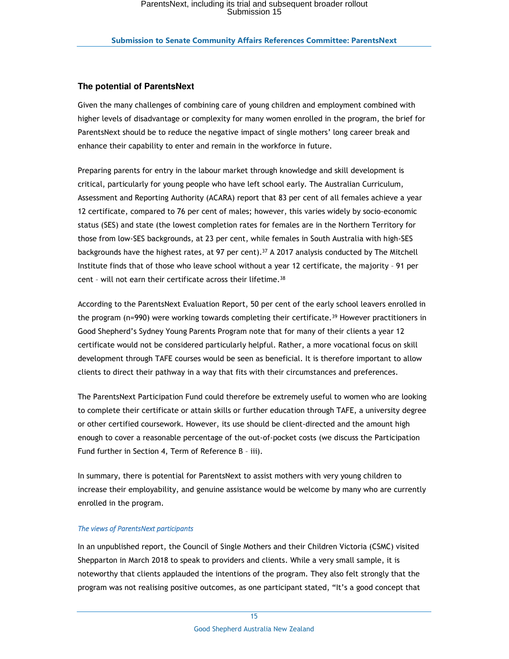### **The potential of ParentsNext**

Given the many challenges of combining care of young children and employment combined with higher levels of disadvantage or complexity for many women enrolled in the program, the brief for ParentsNext should be to reduce the negative impact of single mothers' long career break and enhance their capability to enter and remain in the workforce in future.

Preparing parents for entry in the labour market through knowledge and skill development is critical, particularly for young people who have left school early. The Australian Curriculum, Assessment and Reporting Authority (ACARA) report that 83 per cent of all females achieve a year 12 certificate, compared to 76 per cent of males; however, this varies widely by socio-economic status (SES) and state (the lowest completion rates for females are in the Northern Territory for those from low-SES backgrounds, at 23 per cent, while females in South Australia with high-SES backgrounds have the highest rates, at 97 per cent). <sup>37</sup> A 2017 analysis conducted by The Mitchell Institute finds that of those who leave school without a year 12 certificate, the majority – 91 per cent - will not earn their certificate across their lifetime.<sup>38</sup>

According to the ParentsNext Evaluation Report, 50 per cent of the early school leavers enrolled in the program ( $n=990$ ) were working towards completing their certificate.<sup>39</sup> However practitioners in Good Shepherd's Sydney Young Parents Program note that for many of their clients a year 12 certificate would not be considered particularly helpful. Rather, a more vocational focus on skill development through TAFE courses would be seen as beneficial. It is therefore important to allow clients to direct their pathway in a way that fits with their circumstances and preferences.

The ParentsNext Participation Fund could therefore be extremely useful to women who are looking to complete their certificate or attain skills or further education through TAFE, a university degree or other certified coursework. However, its use should be client-directed and the amount high enough to cover a reasonable percentage of the out-of-pocket costs (we discuss the Participation Fund further in Section 4, Term of Reference B – iii).

In summary, there is potential for ParentsNext to assist mothers with very young children to increase their employability, and genuine assistance would be welcome by many who are currently enrolled in the program.

#### *The views of ParentsNext participants*

In an unpublished report, the Council of Single Mothers and their Children Victoria (CSMC) visited Shepparton in March 2018 to speak to providers and clients. While a very small sample, it is noteworthy that clients applauded the intentions of the program. They also felt strongly that the program was not realising positive outcomes, as one participant stated, "It's a good concept that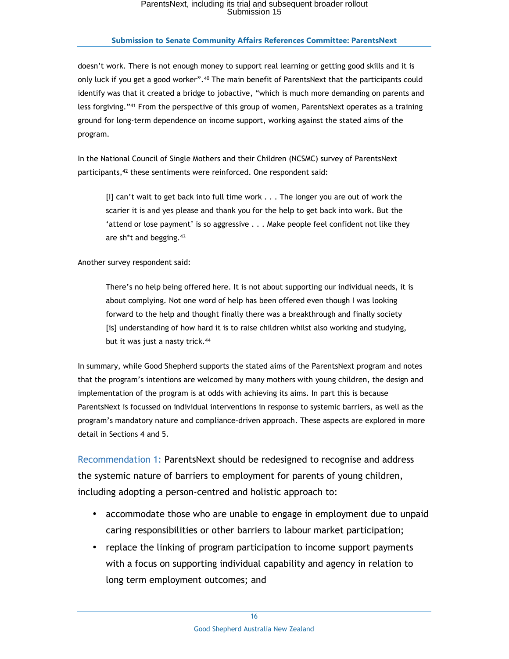### **Submission to Senate Community Affairs References Committee: ParentsNext**

doesn't work. There is not enough money to support real learning or getting good skills and it is only luck if you get a good worker".<sup>40</sup> The main benefit of ParentsNext that the participants could identify was that it created a bridge to jobactive, "which is much more demanding on parents and less forgiving."<sup>41</sup> From the perspective of this group of women, ParentsNext operates as a training ground for long-term dependence on income support, working against the stated aims of the program.

In the National Council of Single Mothers and their Children (NCSMC) survey of ParentsNext participants,<sup>42</sup> these sentiments were reinforced. One respondent said:

[I] can't wait to get back into full time work . . . The longer you are out of work the scarier it is and yes please and thank you for the help to get back into work. But the 'attend or lose payment' is so aggressive . . . Make people feel confident not like they are sh\*t and begging. 43

Another survey respondent said:

There's no help being offered here. It is not about supporting our individual needs, it is about complying. Not one word of help has been offered even though I was looking forward to the help and thought finally there was a breakthrough and finally society [is] understanding of how hard it is to raise children whilst also working and studying, but it was just a nasty trick.<sup>44</sup>

In summary, while Good Shepherd supports the stated aims of the ParentsNext program and notes that the program's intentions are welcomed by many mothers with young children, the design and implementation of the program is at odds with achieving its aims. In part this is because ParentsNext is focussed on individual interventions in response to systemic barriers, as well as the program's mandatory nature and compliance-driven approach. These aspects are explored in more detail in Sections 4 and 5.

Recommendation 1: ParentsNext should be redesigned to recognise and address the systemic nature of barriers to employment for parents of young children, including adopting a person-centred and holistic approach to:

- accommodate those who are unable to engage in employment due to unpaid caring responsibilities or other barriers to labour market participation;
- replace the linking of program participation to income support payments with a focus on supporting individual capability and agency in relation to long term employment outcomes; and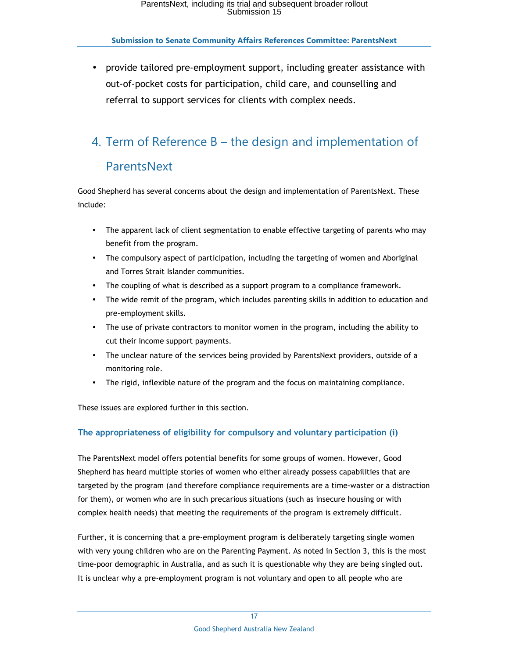• provide tailored pre-employment support, including greater assistance with out-of-pocket costs for participation, child care, and counselling and referral to support services for clients with complex needs.

# 4. Term of Reference B – the design and implementation of

# ParentsNext

Good Shepherd has several concerns about the design and implementation of ParentsNext. These include:

- The apparent lack of client segmentation to enable effective targeting of parents who may benefit from the program.
- The compulsory aspect of participation, including the targeting of women and Aboriginal and Torres Strait Islander communities.
- The coupling of what is described as a support program to a compliance framework.
- The wide remit of the program, which includes parenting skills in addition to education and pre-employment skills.
- The use of private contractors to monitor women in the program, including the ability to cut their income support payments.
- The unclear nature of the services being provided by ParentsNext providers, outside of a monitoring role.
- The rigid, inflexible nature of the program and the focus on maintaining compliance.

These issues are explored further in this section.

# **The appropriateness of eligibility for compulsory and voluntary participation (i)**

The ParentsNext model offers potential benefits for some groups of women. However, Good Shepherd has heard multiple stories of women who either already possess capabilities that are targeted by the program (and therefore compliance requirements are a time-waster or a distraction for them), or women who are in such precarious situations (such as insecure housing or with complex health needs) that meeting the requirements of the program is extremely difficult.

Further, it is concerning that a pre-employment program is deliberately targeting single women with very young children who are on the Parenting Payment. As noted in Section 3, this is the most time-poor demographic in Australia, and as such it is questionable why they are being singled out. It is unclear why a pre-employment program is not voluntary and open to all people who are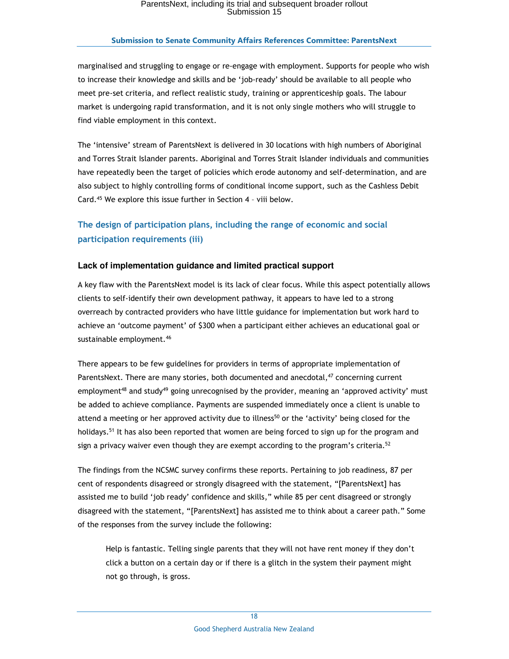## **Submission to Senate Community Affairs References Committee: ParentsNext**

marginalised and struggling to engage or re-engage with employment. Supports for people who wish to increase their knowledge and skills and be 'job-ready' should be available to all people who meet pre-set criteria, and reflect realistic study, training or apprenticeship goals. The labour market is undergoing rapid transformation, and it is not only single mothers who will struggle to find viable employment in this context.

The 'intensive' stream of ParentsNext is delivered in 30 locations with high numbers of Aboriginal and Torres Strait Islander parents. Aboriginal and Torres Strait Islander individuals and communities have repeatedly been the target of policies which erode autonomy and self-determination, and are also subject to highly controlling forms of conditional income support, such as the Cashless Debit Card.<sup>45</sup> We explore this issue further in Section 4 – viii below.

# **The design of participation plans, including the range of economic and social participation requirements (iii)**

## **Lack of implementation guidance and limited practical support**

A key flaw with the ParentsNext model is its lack of clear focus. While this aspect potentially allows clients to self-identify their own development pathway, it appears to have led to a strong overreach by contracted providers who have little guidance for implementation but work hard to achieve an 'outcome payment' of \$300 when a participant either achieves an educational goal or sustainable employment.<sup>46</sup>

There appears to be few guidelines for providers in terms of appropriate implementation of ParentsNext. There are many stories, both documented and anecdotal,<sup>47</sup> concerning current employment<sup>48</sup> and study<sup>49</sup> going unrecognised by the provider, meaning an 'approved activity' must be added to achieve compliance. Payments are suspended immediately once a client is unable to attend a meeting or her approved activity due to illness<sup>50</sup> or the 'activity' being closed for the holidays.<sup>51</sup> It has also been reported that women are being forced to sign up for the program and sign a privacy waiver even though they are exempt according to the program's criteria. $^{52}$ 

The findings from the NCSMC survey confirms these reports. Pertaining to job readiness, 87 per cent of respondents disagreed or strongly disagreed with the statement, "[ParentsNext] has assisted me to build 'job ready' confidence and skills," while 85 per cent disagreed or strongly disagreed with the statement, "[ParentsNext] has assisted me to think about a career path." Some of the responses from the survey include the following:

Help is fantastic. Telling single parents that they will not have rent money if they don't click a button on a certain day or if there is a glitch in the system their payment might not go through, is gross.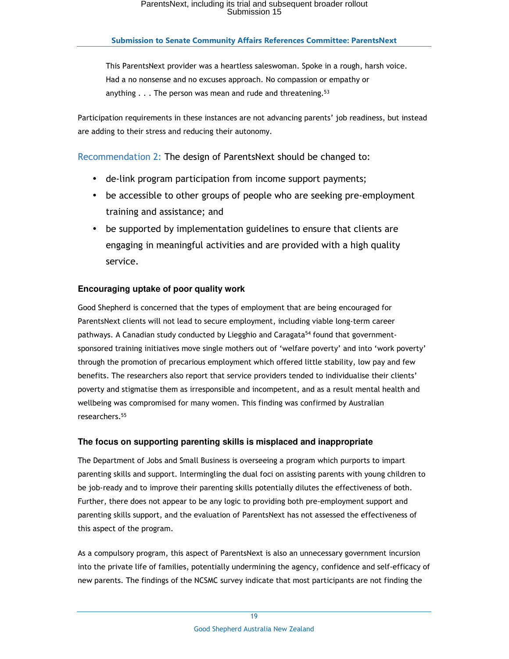This ParentsNext provider was a heartless saleswoman. Spoke in a rough, harsh voice. Had a no nonsense and no excuses approach. No compassion or empathy or anything  $\ldots$  The person was mean and rude and threatening.<sup>53</sup>

Participation requirements in these instances are not advancing parents' job readiness, but instead are adding to their stress and reducing their autonomy.

# Recommendation 2: The design of ParentsNext should be changed to:

- de-link program participation from income support payments;
- be accessible to other groups of people who are seeking pre-employment training and assistance; and
- be supported by implementation guidelines to ensure that clients are engaging in meaningful activities and are provided with a high quality service.

# **Encouraging uptake of poor quality work**

Good Shepherd is concerned that the types of employment that are being encouraged for ParentsNext clients will not lead to secure employment, including viable long-term career pathways. A Canadian study conducted by Liegghio and Caragata<sup>54</sup> found that governmentsponsored training initiatives move single mothers out of 'welfare poverty' and into 'work poverty' through the promotion of precarious employment which offered little stability, low pay and few benefits. The researchers also report that service providers tended to individualise their clients' poverty and stigmatise them as irresponsible and incompetent, and as a result mental health and wellbeing was compromised for many women. This finding was confirmed by Australian researchers.<sup>55</sup>

## **The focus on supporting parenting skills is misplaced and inappropriate**

The Department of Jobs and Small Business is overseeing a program which purports to impart parenting skills and support. Intermingling the dual foci on assisting parents with young children to be job-ready and to improve their parenting skills potentially dilutes the effectiveness of both. Further, there does not appear to be any logic to providing both pre-employment support and parenting skills support, and the evaluation of ParentsNext has not assessed the effectiveness of this aspect of the program.

As a compulsory program, this aspect of ParentsNext is also an unnecessary government incursion into the private life of families, potentially undermining the agency, confidence and self-efficacy of new parents. The findings of the NCSMC survey indicate that most participants are not finding the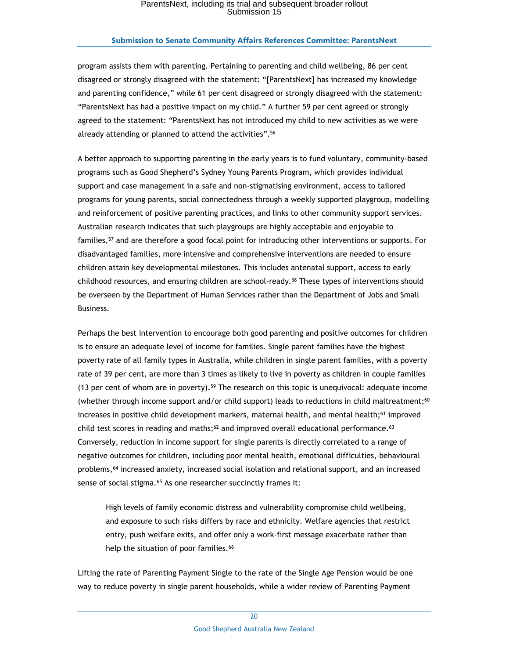### **Submission to Senate Community Affairs References Committee: ParentsNext**

program assists them with parenting. Pertaining to parenting and child wellbeing, 86 per cent disagreed or strongly disagreed with the statement: "[ParentsNext] has increased my knowledge and parenting confidence," while 61 per cent disagreed or strongly disagreed with the statement: "ParentsNext has had a positive impact on my child." A further 59 per cent agreed or strongly agreed to the statement: "ParentsNext has not introduced my child to new activities as we were already attending or planned to attend the activities".<sup>56</sup>

A better approach to supporting parenting in the early years is to fund voluntary, community-based programs such as Good Shepherd's Sydney Young Parents Program, which provides individual support and case management in a safe and non-stigmatising environment, access to tailored programs for young parents, social connectedness through a weekly supported playgroup, modelling and reinforcement of positive parenting practices, and links to other community support services. Australian research indicates that such playgroups are highly acceptable and enjoyable to families,<sup>57</sup> and are therefore a good focal point for introducing other interventions or supports. For disadvantaged families, more intensive and comprehensive interventions are needed to ensure children attain key developmental milestones. This includes antenatal support, access to early childhood resources, and ensuring children are school-ready.<sup>58</sup> These types of interventions should be overseen by the Department of Human Services rather than the Department of Jobs and Small Business.

Perhaps the best intervention to encourage both good parenting and positive outcomes for children is to ensure an adequate level of income for families. Single parent families have the highest poverty rate of all family types in Australia, while children in single parent families, with a poverty rate of 39 per cent, are more than 3 times as likely to live in poverty as children in couple families (13 per cent of whom are in poverty).<sup>59</sup> The research on this topic is unequivocal: adequate income (whether through income support and/or child support) leads to reductions in child maltreatment;<sup>60</sup> increases in positive child development markers, maternal health, and mental health;<sup>61</sup> improved child test scores in reading and maths; $62$  and improved overall educational performance. $63$ Conversely, reduction in income support for single parents is directly correlated to a range of negative outcomes for children, including poor mental health, emotional difficulties, behavioural problems,<sup>64</sup> increased anxiety, increased social isolation and relational support, and an increased sense of social stigma. $65$  As one researcher succinctly frames it:

High levels of family economic distress and vulnerability compromise child wellbeing, and exposure to such risks differs by race and ethnicity. Welfare agencies that restrict entry, push welfare exits, and offer only a work-first message exacerbate rather than help the situation of poor families.<sup>66</sup>

Lifting the rate of Parenting Payment Single to the rate of the Single Age Pension would be one way to reduce poverty in single parent households, while a wider review of Parenting Payment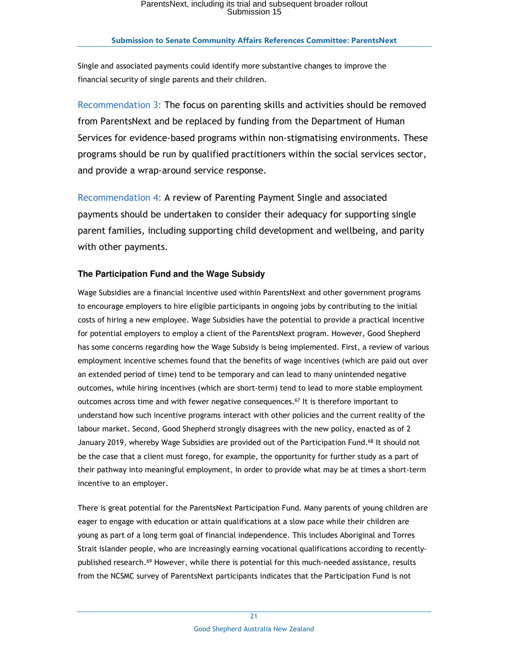Single and associated payments could identify more substantive changes to improve the financial security of single parents and their children.

Recommendation 3: The focus on parenting skills and activities should be removed from ParentsNext and be replaced by funding from the Department of Human Services for evidence-based programs within non-stigmatising environments. These programs should be run by qualified practitioners within the social services sector, and provide a wrap-around service response.

Recommendation 4: A review of Parenting Payment Single and associated payments should be undertaken to consider their adequacy for supporting single parent families, including supporting child development and wellbeing, and parity with other payments.

# **The Participation Fund and the Wage Subsidy**

Wage Subsidies are a financial incentive used within ParentsNext and other government programs to encourage employers to hire eligible participants in ongoing jobs by contributing to the initial costs of hiring a new employee. Wage Subsidies have the potential to provide a practical incentive for potential employers to employ a client of the ParentsNext program. However, Good Shepherd has some concerns regarding how the Wage Subsidy is being implemented. First, a review of various employment incentive schemes found that the benefits of wage incentives (which are paid out over an extended period of time) tend to be temporary and can lead to many unintended negative outcomes, while hiring incentives (which are short-term) tend to lead to more stable employment outcomes across time and with fewer negative consequences.<sup>67</sup> It is therefore important to understand how such incentive programs interact with other policies and the current reality of the labour market. Second, Good Shepherd strongly disagrees with the new policy, enacted as of 2 January 2019, whereby Wage Subsidies are provided out of the Participation Fund.<sup>68</sup> It should not be the case that a client must forego, for example, the opportunity for further study as a part of their pathway into meaningful employment, in order to provide what may be at times a short-term incentive to an employer.

There is great potential for the ParentsNext Participation Fund. Many parents of young children are eager to engage with education or attain qualifications at a slow pace while their children are young as part of a long term goal of financial independence. This includes Aboriginal and Torres Strait Islander people, who are increasingly earning vocational qualifications according to recentlypublished research.<sup>69</sup> However, while there is potential for this much-needed assistance, results from the NCSMC survey of ParentsNext participants indicates that the Participation Fund is not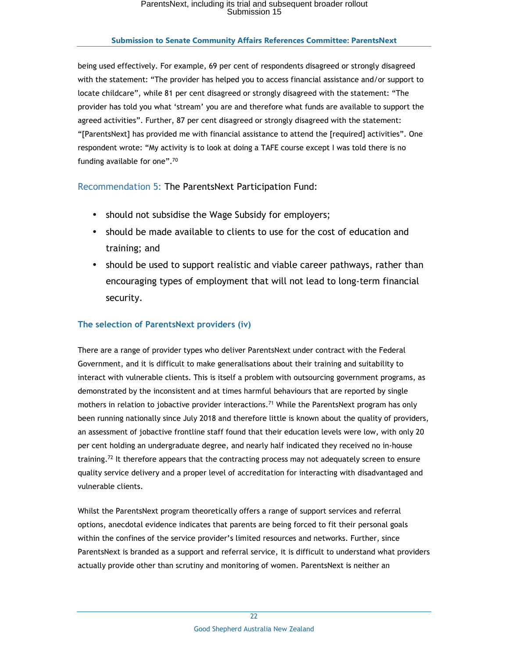being used effectively. For example, 69 per cent of respondents disagreed or strongly disagreed with the statement: "The provider has helped you to access financial assistance and/or support to locate childcare", while 81 per cent disagreed or strongly disagreed with the statement: "The provider has told you what 'stream' you are and therefore what funds are available to support the agreed activities". Further, 87 per cent disagreed or strongly disagreed with the statement: "[ParentsNext] has provided me with financial assistance to attend the [required] activities". One respondent wrote: "My activity is to look at doing a TAFE course except I was told there is no funding available for one".<sup>70</sup>

Recommendation 5: The ParentsNext Participation Fund:

- should not subsidise the Wage Subsidy for employers;
- should be made available to clients to use for the cost of education and training; and
- should be used to support realistic and viable career pathways, rather than encouraging types of employment that will not lead to long-term financial security.

# **The selection of ParentsNext providers (iv)**

There are a range of provider types who deliver ParentsNext under contract with the Federal Government, and it is difficult to make generalisations about their training and suitability to interact with vulnerable clients. This is itself a problem with outsourcing government programs, as demonstrated by the inconsistent and at times harmful behaviours that are reported by single mothers in relation to jobactive provider interactions.<sup>71</sup> While the ParentsNext program has only been running nationally since July 2018 and therefore little is known about the quality of providers, an assessment of jobactive frontline staff found that their education levels were low, with only 20 per cent holding an undergraduate degree, and nearly half indicated they received no in-house training.<sup>72</sup> It therefore appears that the contracting process may not adequately screen to ensure quality service delivery and a proper level of accreditation for interacting with disadvantaged and vulnerable clients.

Whilst the ParentsNext program theoretically offers a range of support services and referral options, anecdotal evidence indicates that parents are being forced to fit their personal goals within the confines of the service provider's limited resources and networks. Further, since ParentsNext is branded as a support and referral service, it is difficult to understand what providers actually provide other than scrutiny and monitoring of women. ParentsNext is neither an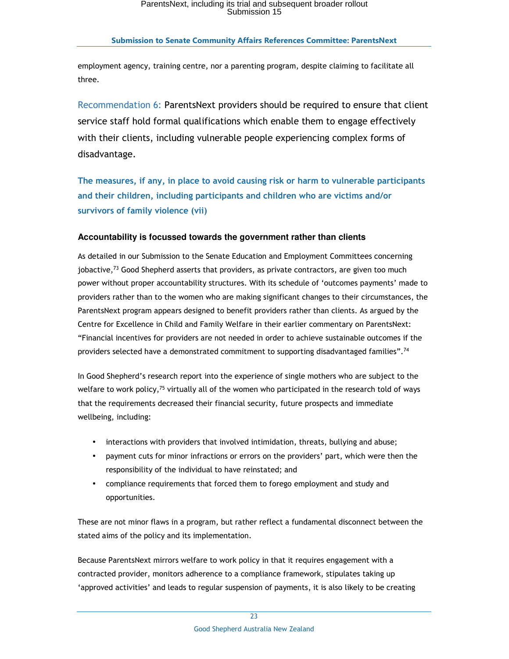employment agency, training centre, nor a parenting program, despite claiming to facilitate all three.

Recommendation 6: ParentsNext providers should be required to ensure that client service staff hold formal qualifications which enable them to engage effectively with their clients, including vulnerable people experiencing complex forms of disadvantage.

**The measures, if any, in place to avoid causing risk or harm to vulnerable participants and their children, including participants and children who are victims and/or survivors of family violence (vii)** 

## **Accountability is focussed towards the government rather than clients**

As detailed in our Submission to the Senate Education and Employment Committees concerning jobactive, $73$  Good Shepherd asserts that providers, as private contractors, are given too much power without proper accountability structures. With its schedule of 'outcomes payments' made to providers rather than to the women who are making significant changes to their circumstances, the ParentsNext program appears designed to benefit providers rather than clients. As argued by the Centre for Excellence in Child and Family Welfare in their earlier commentary on ParentsNext: "Financial incentives for providers are not needed in order to achieve sustainable outcomes if the providers selected have a demonstrated commitment to supporting disadvantaged families".<sup>74</sup>

In Good Shepherd's research report into the experience of single mothers who are subject to the welfare to work policy, $75$  virtually all of the women who participated in the research told of ways that the requirements decreased their financial security, future prospects and immediate wellbeing, including:

- interactions with providers that involved intimidation, threats, bullying and abuse;
- payment cuts for minor infractions or errors on the providers' part, which were then the responsibility of the individual to have reinstated; and
- compliance requirements that forced them to forego employment and study and opportunities.

These are not minor flaws in a program, but rather reflect a fundamental disconnect between the stated aims of the policy and its implementation.

Because ParentsNext mirrors welfare to work policy in that it requires engagement with a contracted provider, monitors adherence to a compliance framework, stipulates taking up 'approved activities' and leads to regular suspension of payments, it is also likely to be creating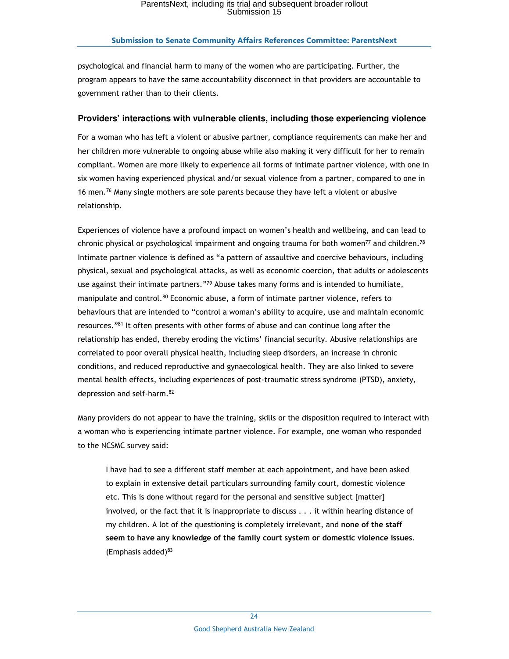psychological and financial harm to many of the women who are participating. Further, the program appears to have the same accountability disconnect in that providers are accountable to government rather than to their clients.

### **Providers' interactions with vulnerable clients, including those experiencing violence**

For a woman who has left a violent or abusive partner, compliance requirements can make her and her children more vulnerable to ongoing abuse while also making it very difficult for her to remain compliant. Women are more likely to experience all forms of intimate partner violence, with one in six women having experienced physical and/or sexual violence from a partner, compared to one in 16 men.<sup>76</sup> Many single mothers are sole parents because they have left a violent or abusive relationship.

Experiences of violence have a profound impact on women's health and wellbeing, and can lead to chronic physical or psychological impairment and ongoing trauma for both women<sup>77</sup> and children.<sup>78</sup> Intimate partner violence is defined as "a pattern of assaultive and coercive behaviours, including physical, sexual and psychological attacks, as well as economic coercion, that adults or adolescents use against their intimate partners."<sup>79</sup> Abuse takes many forms and is intended to humiliate, manipulate and control.<sup>80</sup> Economic abuse, a form of intimate partner violence, refers to behaviours that are intended to "control a woman's ability to acquire, use and maintain economic resources."<sup>81</sup> It often presents with other forms of abuse and can continue long after the relationship has ended, thereby eroding the victims' financial security. Abusive relationships are correlated to poor overall physical health, including sleep disorders, an increase in chronic conditions, and reduced reproductive and gynaecological health. They are also linked to severe mental health effects, including experiences of post-traumatic stress syndrome (PTSD), anxiety, depression and self-harm.<sup>82</sup>

Many providers do not appear to have the training, skills or the disposition required to interact with a woman who is experiencing intimate partner violence. For example, one woman who responded to the NCSMC survey said:

I have had to see a different staff member at each appointment, and have been asked to explain in extensive detail particulars surrounding family court, domestic violence etc. This is done without regard for the personal and sensitive subject [matter] involved, or the fact that it is inappropriate to discuss . . . it within hearing distance of my children. A lot of the questioning is completely irrelevant, and **none of the staff seem to have any knowledge of the family court system or domestic violence issues**. (Emphasis added) $83$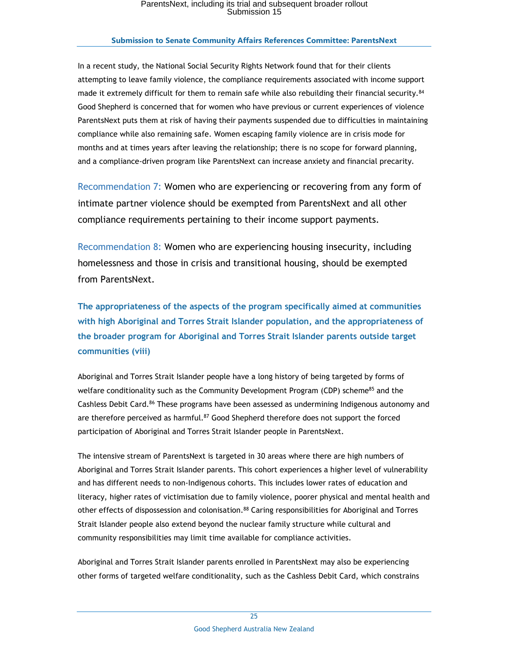#### **Submission to Senate Community Affairs References Committee: ParentsNext**

In a recent study, the National Social Security Rights Network found that for their clients attempting to leave family violence, the compliance requirements associated with income support made it extremely difficult for them to remain safe while also rebuilding their financial security.<sup>84</sup> Good Shepherd is concerned that for women who have previous or current experiences of violence ParentsNext puts them at risk of having their payments suspended due to difficulties in maintaining compliance while also remaining safe. Women escaping family violence are in crisis mode for months and at times years after leaving the relationship; there is no scope for forward planning, and a compliance-driven program like ParentsNext can increase anxiety and financial precarity.

Recommendation 7: Women who are experiencing or recovering from any form of intimate partner violence should be exempted from ParentsNext and all other compliance requirements pertaining to their income support payments.

Recommendation 8: Women who are experiencing housing insecurity, including homelessness and those in crisis and transitional housing, should be exempted from ParentsNext.

**The appropriateness of the aspects of the program specifically aimed at communities with high Aboriginal and Torres Strait Islander population, and the appropriateness of the broader program for Aboriginal and Torres Strait Islander parents outside target communities (viii)** 

Aboriginal and Torres Strait Islander people have a long history of being targeted by forms of welfare conditionality such as the Community Development Program (CDP) scheme<sup>85</sup> and the Cashless Debit Card.<sup>86</sup> These programs have been assessed as undermining Indigenous autonomy and are therefore perceived as harmful.<sup>87</sup> Good Shepherd therefore does not support the forced participation of Aboriginal and Torres Strait Islander people in ParentsNext.

The intensive stream of ParentsNext is targeted in 30 areas where there are high numbers of Aboriginal and Torres Strait Islander parents. This cohort experiences a higher level of vulnerability and has different needs to non-Indigenous cohorts. This includes lower rates of education and literacy, higher rates of victimisation due to family violence, poorer physical and mental health and other effects of dispossession and colonisation.<sup>88</sup> Caring responsibilities for Aboriginal and Torres Strait Islander people also extend beyond the nuclear family structure while cultural and community responsibilities may limit time available for compliance activities.

Aboriginal and Torres Strait Islander parents enrolled in ParentsNext may also be experiencing other forms of targeted welfare conditionality, such as the Cashless Debit Card, which constrains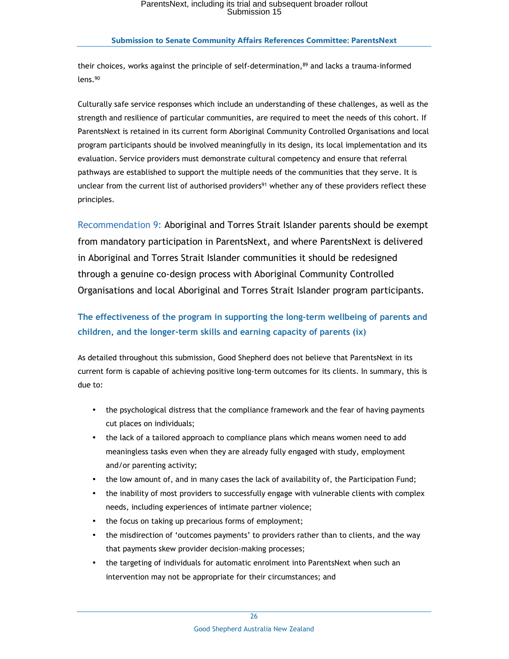their choices, works against the principle of self-determination, $89$  and lacks a trauma-informed lens.<sup>90</sup>

Culturally safe service responses which include an understanding of these challenges, as well as the strength and resilience of particular communities, are required to meet the needs of this cohort. If ParentsNext is retained in its current form Aboriginal Community Controlled Organisations and local program participants should be involved meaningfully in its design, its local implementation and its evaluation. Service providers must demonstrate cultural competency and ensure that referral pathways are established to support the multiple needs of the communities that they serve. It is unclear from the current list of authorised providers<sup>91</sup> whether any of these providers reflect these principles.

Recommendation 9: Aboriginal and Torres Strait Islander parents should be exempt from mandatory participation in ParentsNext, and where ParentsNext is delivered in Aboriginal and Torres Strait Islander communities it should be redesigned through a genuine co-design process with Aboriginal Community Controlled Organisations and local Aboriginal and Torres Strait Islander program participants.

# **The effectiveness of the program in supporting the long-term wellbeing of parents and children, and the longer-term skills and earning capacity of parents (ix)**

As detailed throughout this submission, Good Shepherd does not believe that ParentsNext in its current form is capable of achieving positive long-term outcomes for its clients. In summary, this is due to:

- the psychological distress that the compliance framework and the fear of having payments cut places on individuals;
- the lack of a tailored approach to compliance plans which means women need to add meaningless tasks even when they are already fully engaged with study, employment and/or parenting activity;
- the low amount of, and in many cases the lack of availability of, the Participation Fund;
- the inability of most providers to successfully engage with vulnerable clients with complex needs, including experiences of intimate partner violence;
- the focus on taking up precarious forms of employment;
- the misdirection of 'outcomes payments' to providers rather than to clients, and the way that payments skew provider decision-making processes;
- the targeting of individuals for automatic enrolment into ParentsNext when such an intervention may not be appropriate for their circumstances; and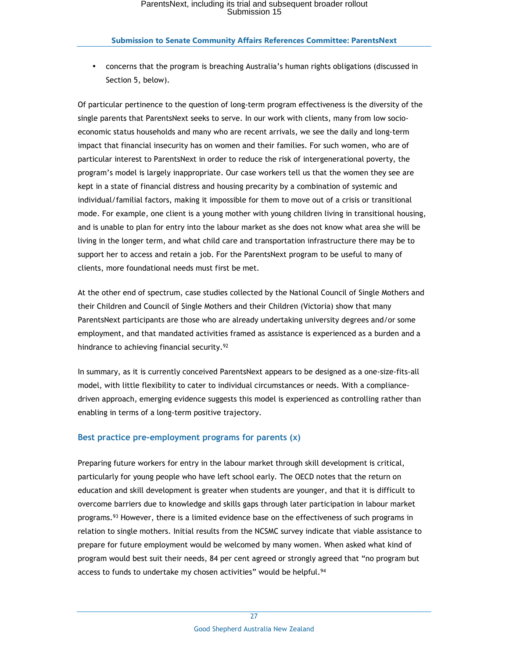• concerns that the program is breaching Australia's human rights obligations (discussed in Section 5, below).

Of particular pertinence to the question of long-term program effectiveness is the diversity of the single parents that ParentsNext seeks to serve. In our work with clients, many from low socioeconomic status households and many who are recent arrivals, we see the daily and long-term impact that financial insecurity has on women and their families. For such women, who are of particular interest to ParentsNext in order to reduce the risk of intergenerational poverty, the program's model is largely inappropriate. Our case workers tell us that the women they see are kept in a state of financial distress and housing precarity by a combination of systemic and individual/familial factors, making it impossible for them to move out of a crisis or transitional mode. For example, one client is a young mother with young children living in transitional housing, and is unable to plan for entry into the labour market as she does not know what area she will be living in the longer term, and what child care and transportation infrastructure there may be to support her to access and retain a job. For the ParentsNext program to be useful to many of clients, more foundational needs must first be met.

At the other end of spectrum, case studies collected by the National Council of Single Mothers and their Children and Council of Single Mothers and their Children (Victoria) show that many ParentsNext participants are those who are already undertaking university degrees and/or some employment, and that mandated activities framed as assistance is experienced as a burden and a hindrance to achieving financial security.<sup>92</sup>

In summary, as it is currently conceived ParentsNext appears to be designed as a one-size-fits-all model, with little flexibility to cater to individual circumstances or needs. With a compliancedriven approach, emerging evidence suggests this model is experienced as controlling rather than enabling in terms of a long-term positive trajectory.

## **Best practice pre-employment programs for parents (x)**

Preparing future workers for entry in the labour market through skill development is critical, particularly for young people who have left school early. The OECD notes that the return on education and skill development is greater when students are younger, and that it is difficult to overcome barriers due to knowledge and skills gaps through later participation in labour market programs.<sup>93</sup> However, there is a limited evidence base on the effectiveness of such programs in relation to single mothers. Initial results from the NCSMC survey indicate that viable assistance to prepare for future employment would be welcomed by many women. When asked what kind of program would best suit their needs, 84 per cent agreed or strongly agreed that "no program but access to funds to undertake my chosen activities" would be helpful.<sup>94</sup>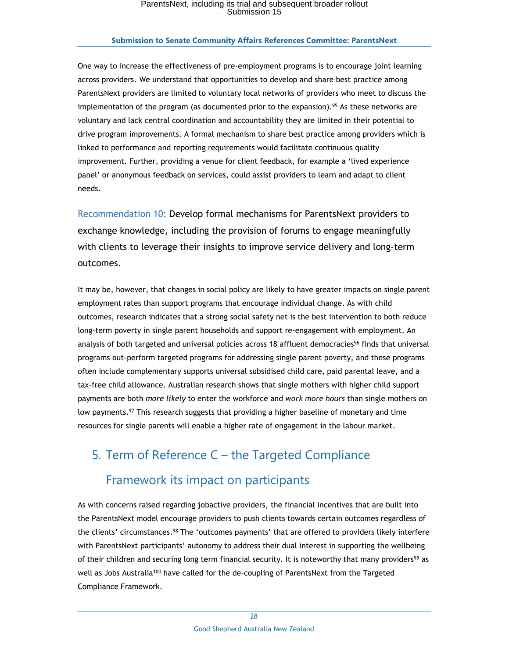#### **Submission to Senate Community Affairs References Committee: ParentsNext**

One way to increase the effectiveness of pre-employment programs is to encourage joint learning across providers. We understand that opportunities to develop and share best practice among ParentsNext providers are limited to voluntary local networks of providers who meet to discuss the implementation of the program (as documented prior to the expansion).<sup>95</sup> As these networks are voluntary and lack central coordination and accountability they are limited in their potential to drive program improvements. A formal mechanism to share best practice among providers which is linked to performance and reporting requirements would facilitate continuous quality improvement. Further, providing a venue for client feedback, for example a 'lived experience panel' or anonymous feedback on services, could assist providers to learn and adapt to client needs.

Recommendation 10: Develop formal mechanisms for ParentsNext providers to exchange knowledge, including the provision of forums to engage meaningfully with clients to leverage their insights to improve service delivery and long-term outcomes.

It may be, however, that changes in social policy are likely to have greater impacts on single parent employment rates than support programs that encourage individual change. As with child outcomes, research indicates that a strong social safety net is the best intervention to both reduce long-term poverty in single parent households and support re-engagement with employment. An analysis of both targeted and universal policies across 18 affluent democracies<sup>96</sup> finds that universal programs out-perform targeted programs for addressing single parent poverty, and these programs often include complementary supports universal subsidised child care, paid parental leave, and a tax-free child allowance. Australian research shows that single mothers with higher child support payments are both *more likely* to enter the workforce and *work more hours* than single mothers on low payments.<sup>97</sup> This research suggests that providing a higher baseline of monetary and time resources for single parents will enable a higher rate of engagement in the labour market.

# 5. Term of Reference C – the Targeted Compliance

# Framework its impact on participants

As with concerns raised regarding jobactive providers, the financial incentives that are built into the ParentsNext model encourage providers to push clients towards certain outcomes regardless of the clients' circumstances.<sup>98</sup> The 'outcomes payments' that are offered to providers likely interfere with ParentsNext participants' autonomy to address their dual interest in supporting the wellbeing of their children and securing long term financial security. It is noteworthy that many providers<sup>99</sup> as well as Jobs Australia<sup>100</sup> have called for the de-coupling of ParentsNext from the Targeted Compliance Framework.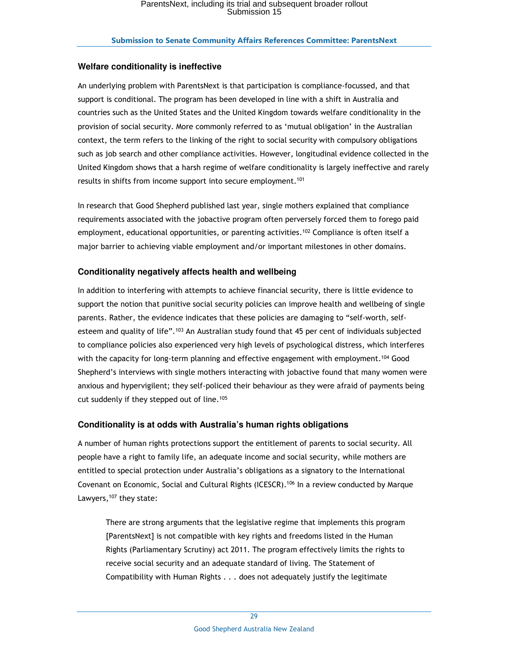## **Welfare conditionality is ineffective**

An underlying problem with ParentsNext is that participation is compliance-focussed, and that support is conditional. The program has been developed in line with a shift in Australia and countries such as the United States and the United Kingdom towards welfare conditionality in the provision of social security. More commonly referred to as 'mutual obligation' in the Australian context, the term refers to the linking of the right to social security with compulsory obligations such as job search and other compliance activities. However, longitudinal evidence collected in the United Kingdom shows that a harsh regime of welfare conditionality is largely ineffective and rarely results in shifts from income support into secure employment.<sup>101</sup>

In research that Good Shepherd published last year, single mothers explained that compliance requirements associated with the jobactive program often perversely forced them to forego paid employment, educational opportunities, or parenting activities.<sup>102</sup> Compliance is often itself a major barrier to achieving viable employment and/or important milestones in other domains.

## **Conditionality negatively affects health and wellbeing**

In addition to interfering with attempts to achieve financial security, there is little evidence to support the notion that punitive social security policies can improve health and wellbeing of single parents. Rather, the evidence indicates that these policies are damaging to "self-worth, selfesteem and quality of life".<sup>103</sup> An Australian study found that 45 per cent of individuals subjected to compliance policies also experienced very high levels of psychological distress, which interferes with the capacity for long-term planning and effective engagement with employment.<sup>104</sup> Good Shepherd's interviews with single mothers interacting with jobactive found that many women were anxious and hypervigilent; they self-policed their behaviour as they were afraid of payments being cut suddenly if they stepped out of line.<sup>105</sup>

### **Conditionality is at odds with Australia's human rights obligations**

A number of human rights protections support the entitlement of parents to social security. All people have a right to family life, an adequate income and social security, while mothers are entitled to special protection under Australia's obligations as a signatory to the International Covenant on Economic, Social and Cultural Rights (ICESCR).<sup>106</sup> In a review conducted by Marque Lawyers,  $107$  they state:

There are strong arguments that the legislative regime that implements this program [ParentsNext] is not compatible with key rights and freedoms listed in the Human Rights (Parliamentary Scrutiny) act 2011. The program effectively limits the rights to receive social security and an adequate standard of living. The Statement of Compatibility with Human Rights . . . does not adequately justify the legitimate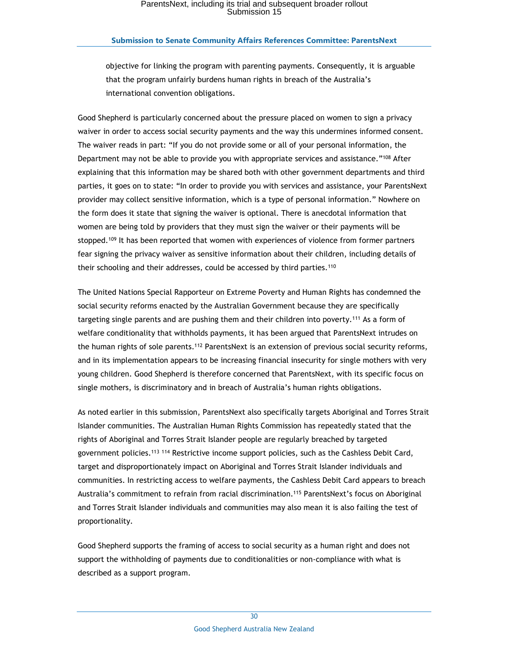### **Submission to Senate Community Affairs References Committee: ParentsNext**

objective for linking the program with parenting payments. Consequently, it is arguable that the program unfairly burdens human rights in breach of the Australia's international convention obligations.

Good Shepherd is particularly concerned about the pressure placed on women to sign a privacy waiver in order to access social security payments and the way this undermines informed consent. The waiver reads in part: "If you do not provide some or all of your personal information, the Department may not be able to provide you with appropriate services and assistance."<sup>108</sup> After explaining that this information may be shared both with other government departments and third parties, it goes on to state: "In order to provide you with services and assistance, your ParentsNext provider may collect sensitive information, which is a type of personal information." Nowhere on the form does it state that signing the waiver is optional. There is anecdotal information that women are being told by providers that they must sign the waiver or their payments will be stopped.<sup>109</sup> It has been reported that women with experiences of violence from former partners fear signing the privacy waiver as sensitive information about their children, including details of their schooling and their addresses, could be accessed by third parties.<sup>110</sup>

The United Nations Special Rapporteur on Extreme Poverty and Human Rights has condemned the social security reforms enacted by the Australian Government because they are specifically targeting single parents and are pushing them and their children into poverty.<sup>111</sup> As a form of welfare conditionality that withholds payments, it has been argued that ParentsNext intrudes on the human rights of sole parents.<sup>112</sup> ParentsNext is an extension of previous social security reforms, and in its implementation appears to be increasing financial insecurity for single mothers with very young children. Good Shepherd is therefore concerned that ParentsNext, with its specific focus on single mothers, is discriminatory and in breach of Australia's human rights obligations.

As noted earlier in this submission, ParentsNext also specifically targets Aboriginal and Torres Strait Islander communities. The Australian Human Rights Commission has repeatedly stated that the rights of Aboriginal and Torres Strait Islander people are regularly breached by targeted government policies.<sup>113</sup><sup>114</sup> Restrictive income support policies, such as the Cashless Debit Card, target and disproportionately impact on Aboriginal and Torres Strait Islander individuals and communities. In restricting access to welfare payments, the Cashless Debit Card appears to breach Australia's commitment to refrain from racial discrimination.<sup>115</sup> ParentsNext's focus on Aboriginal and Torres Strait Islander individuals and communities may also mean it is also failing the test of proportionality.

Good Shepherd supports the framing of access to social security as a human right and does not support the withholding of payments due to conditionalities or non-compliance with what is described as a support program.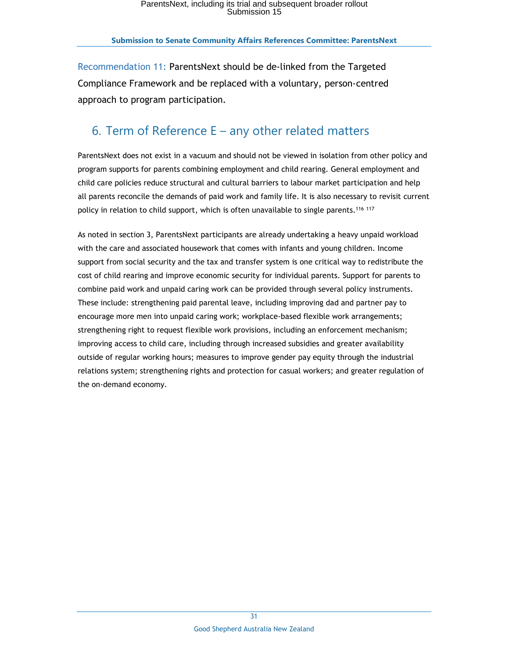Recommendation 11: ParentsNext should be de-linked from the Targeted Compliance Framework and be replaced with a voluntary, person-centred approach to program participation.

# 6. Term of Reference E – any other related matters

ParentsNext does not exist in a vacuum and should not be viewed in isolation from other policy and program supports for parents combining employment and child rearing. General employment and child care policies reduce structural and cultural barriers to labour market participation and help all parents reconcile the demands of paid work and family life. It is also necessary to revisit current policy in relation to child support, which is often unavailable to single parents.<sup>116</sup> 117

As noted in section 3, ParentsNext participants are already undertaking a heavy unpaid workload with the care and associated housework that comes with infants and young children. Income support from social security and the tax and transfer system is one critical way to redistribute the cost of child rearing and improve economic security for individual parents. Support for parents to combine paid work and unpaid caring work can be provided through several policy instruments. These include: strengthening paid parental leave, including improving dad and partner pay to encourage more men into unpaid caring work; workplace-based flexible work arrangements; strengthening right to request flexible work provisions, including an enforcement mechanism; improving access to child care, including through increased subsidies and greater availability outside of regular working hours; measures to improve gender pay equity through the industrial relations system; strengthening rights and protection for casual workers; and greater regulation of the on-demand economy.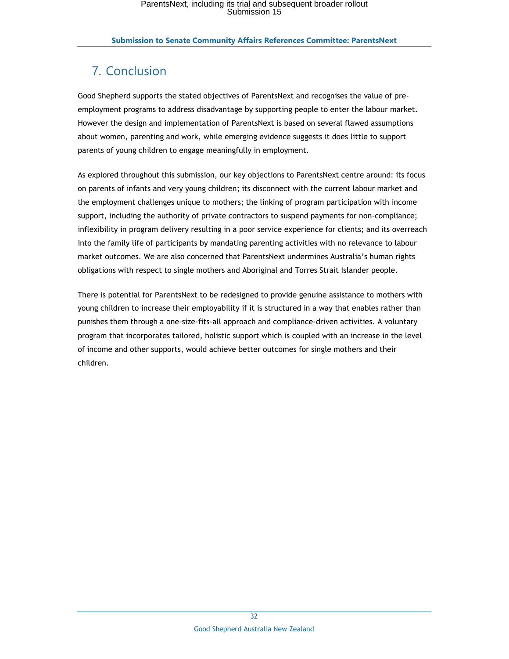# 7. Conclusion

Good Shepherd supports the stated objectives of ParentsNext and recognises the value of preemployment programs to address disadvantage by supporting people to enter the labour market. However the design and implementation of ParentsNext is based on several flawed assumptions about women, parenting and work, while emerging evidence suggests it does little to support parents of young children to engage meaningfully in employment.

As explored throughout this submission, our key objections to ParentsNext centre around: its focus on parents of infants and very young children; its disconnect with the current labour market and the employment challenges unique to mothers; the linking of program participation with income support, including the authority of private contractors to suspend payments for non-compliance; inflexibility in program delivery resulting in a poor service experience for clients; and its overreach into the family life of participants by mandating parenting activities with no relevance to labour market outcomes. We are also concerned that ParentsNext undermines Australia's human rights obligations with respect to single mothers and Aboriginal and Torres Strait Islander people.

There is potential for ParentsNext to be redesigned to provide genuine assistance to mothers with young children to increase their employability if it is structured in a way that enables rather than punishes them through a one-size-fits-all approach and compliance-driven activities. A voluntary program that incorporates tailored, holistic support which is coupled with an increase in the level of income and other supports, would achieve better outcomes for single mothers and their children.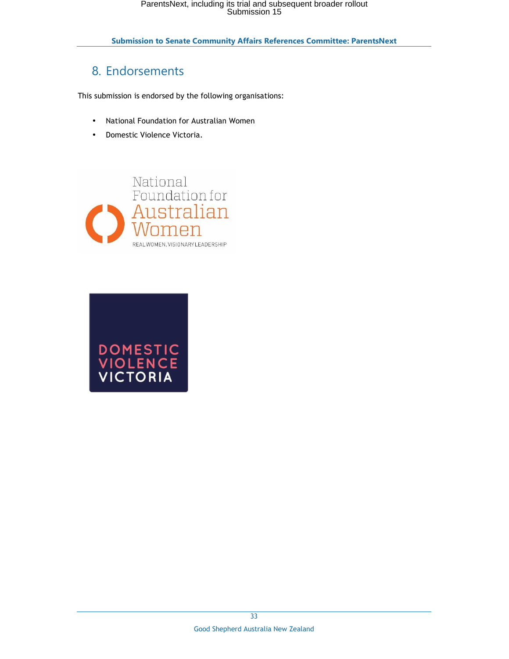# 8. Endorsements

This submission is endorsed by the following organisations:

- National Foundation for Australian Women
- Domestic Violence Victoria.



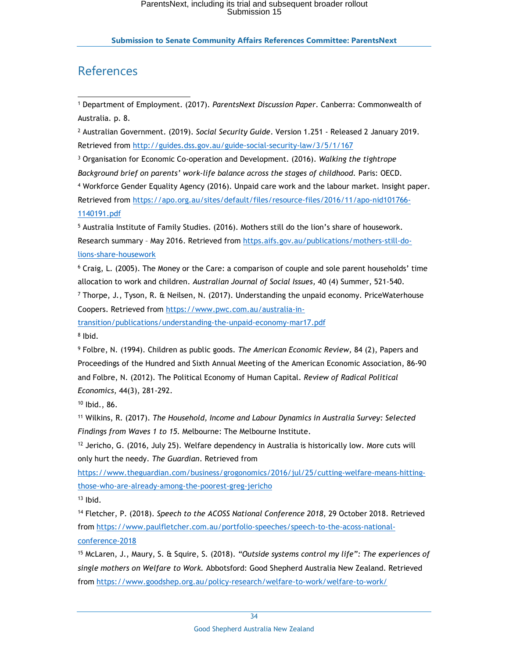# References

1 Department of Employment. (2017). *ParentsNext Discussion Paper*. Canberra: Commonwealth of Australia. p. 8. -

2 Australian Government. (2019). *Social Security Guide*. Version 1.251 - Released 2 January 2019. Retrieved from http://guides.dss.gov.au/guide-social-security-law/3/5/1/167

3 Organisation for Economic Co-operation and Development. (2016). *Walking the tightrope Background brief on parents' work-life balance across the stages of childhood.* Paris: OECD. 4 Workforce Gender Equality Agency (2016). Unpaid care work and the labour market. Insight paper. Retrieved from https://apo.org.au/sites/default/files/resource-files/2016/11/apo-nid101766- 1140191.pdf

5 Australia Institute of Family Studies. (2016). Mothers still do the lion's share of housework. Research summary – May 2016. Retrieved from https.aifs.gov.au/publications/mothers-still-dolions-share-housework

6 Craig, L. (2005). The Money or the Care: a comparison of couple and sole parent households' time allocation to work and children. *Australian Journal of Social Issues,* 40 (4) Summer, 521-540.

7 Thorpe, J., Tyson, R. & Neilsen, N. (2017). Understanding the unpaid economy. PriceWaterhouse Coopers. Retrieved from https://www.pwc.com.au/australia-in-

transition/publications/understanding-the-unpaid-economy-mar17.pdf

8 Ibid.

9 Folbre, N. (1994). Children as public goods. *The American Economic Review,* 84 (2), Papers and Proceedings of the Hundred and Sixth Annual Meeting of the American Economic Association, 86-90 and Folbre, N. (2012). The Political Economy of Human Capital. *Review of Radical Political Economics*, 44(3), 281-292.

<sup>10</sup> Ibid., 86.

<sup>11</sup> Wilkins, R. (2017). *The Household, Income and Labour Dynamics in Australia Survey: Selected Findings from Waves 1 to 15.* Melbourne: The Melbourne Institute.

 $12$  Jericho, G. (2016, July 25). Welfare dependency in Australia is historically low. More cuts will only hurt the needy. *The Guardian*. Retrieved from

https://www.theguardian.com/business/grogonomics/2016/jul/25/cutting-welfare-means-hittingthose-who-are-already-among-the-poorest-greg-jericho

 $13$  Ibid.

<sup>14</sup> Fletcher, P. (2018). *Speech to the ACOSS National Conference 2018,* 29 October 2018. Retrieved from https://www.paulfletcher.com.au/portfolio-speeches/speech-to-the-acoss-nationalconference-2018

<sup>15</sup> McLaren, J., Maury, S. & Squire, S. (2018). *"Outside systems control my life": The experiences of single mothers on Welfare to Work.* Abbotsford: Good Shepherd Australia New Zealand. Retrieved from https://www.goodshep.org.au/policy-research/welfare-to-work/welfare-to-work/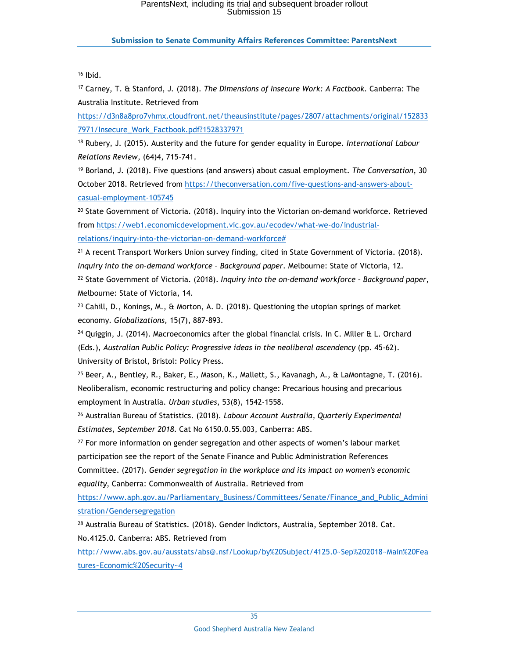#### **Submission to Senate Community Affairs References Committee: ParentsNext**

#### <sup>16</sup> Ibid.

i,

<sup>17</sup> Carney, T. & Stanford, J. (2018). *The Dimensions of Insecure Work: A Factbook.* Canberra: The Australia Institute. Retrieved from

https://d3n8a8pro7vhmx.cloudfront.net/theausinstitute/pages/2807/attachments/original/152833 7971/Insecure\_Work\_Factbook.pdf?1528337971

<sup>18</sup> Rubery, J. (2015). Austerity and the future for gender equality in Europe. *International Labour Relations Review*, (64)4, 715-741.

<sup>19</sup> Borland, J. (2018). Five questions (and answers) about casual employment. *The Conversation*, 30 October 2018. Retrieved from https://theconversation.com/five-questions-and-answers-aboutcasual-employment-105745

<sup>20</sup> State Government of Victoria. (2018). Inquiry into the Victorian on-demand workforce. Retrieved from https://web1.economicdevelopment.vic.gov.au/ecodev/what-we-do/industrialrelations/inquiry-into-the-victorian-on-demand-workforce#

<sup>21</sup> A recent Transport Workers Union survey finding, cited in State Government of Victoria. (2018). *Inquiry into the on-demand workforce – Background paper*. Melbourne: State of Victoria, 12.

<sup>22</sup> State Government of Victoria. (2018). *Inquiry into the on-demand workforce – Background paper*, Melbourne: State of Victoria, 14.

<sup>23</sup> Cahill, D., Konings, M., & Morton, A. D. (2018). Questioning the utopian springs of market economy. *Globalizations,* 15(7), 887-893.

 $24$  Quiggin, J. (2014). Macroeconomics after the global financial crisis. In C. Miller & L. Orchard (Eds.), *Australian Public Policy: Progressive ideas in the neoliberal ascendency* (pp. 45-62). University of Bristol, Bristol: Policy Press.

<sup>25</sup> Beer, A., Bentley, R., Baker, E., Mason, K., Mallett, S., Kavanagh, A., & LaMontagne, T. (2016). Neoliberalism, economic restructuring and policy change: Precarious housing and precarious employment in Australia. *Urban studies*, 53(8), 1542-1558.

<sup>26</sup> Australian Bureau of Statistics. (2018). *Labour Account Australia, Quarterly Experimental Estimates, September 2018*. Cat No 6150.0.55.003, Canberra: ABS.

<sup>27</sup> For more information on gender segregation and other aspects of women's labour market participation see the report of the Senate Finance and Public Administration References Committee. (2017). *Gender segregation in the workplace and its impact on women's economic* 

*equality*, Canberra: Commonwealth of Australia. Retrieved from

https://www.aph.gov.au/Parliamentary\_Business/Committees/Senate/Finance\_and\_Public\_Admini stration/Gendersegregation

<sup>28</sup> Australia Bureau of Statistics. (2018). Gender Indictors, Australia, September 2018. Cat. No.4125.0. Canberra: ABS. Retrieved from

http://www.abs.gov.au/ausstats/abs@.nsf/Lookup/by%20Subject/4125.0~Sep%202018~Main%20Fea tures~Economic%20Security~4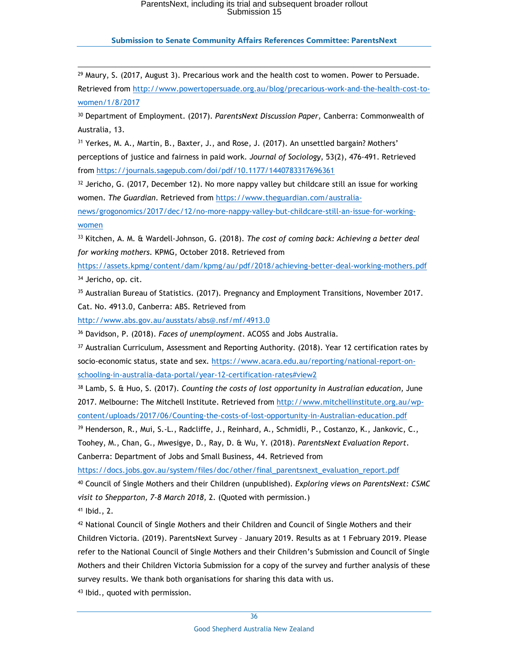### **Submission to Senate Community Affairs References Committee: ParentsNext**

i,  $29$  Maury, S. (2017, August 3). Precarious work and the health cost to women. Power to Persuade. Retrieved from http://www.powertopersuade.org.au/blog/precarious-work-and-the-health-cost-towomen/1/8/2017

<sup>30</sup> Department of Employment. (2017). *ParentsNext Discussion Paper,* Canberra: Commonwealth of Australia, 13.

<sup>31</sup> Yerkes, M. A., Martin, B., Baxter, J., and Rose, J. (2017). An unsettled bargain? Mothers' perceptions of justice and fairness in paid work. *Journal of Sociology*, 53(2), 476-491. Retrieved from https://journals.sagepub.com/doi/pdf/10.1177/1440783317696361

 $32$  Jericho, G. (2017, December 12). No more nappy valley but childcare still an issue for working women. *The Guardian*. Retrieved from https://www.theguardian.com/australia-

news/grogonomics/2017/dec/12/no-more-nappy-valley-but-childcare-still-an-issue-for-workingwomen

<sup>33</sup> Kitchen, A. M. & Wardell-Johnson, G. (2018). *The cost of coming back: Achieving a better deal for working mothers.* KPMG, October 2018. Retrieved from

https://assets.kpmg/content/dam/kpmg/au/pdf/2018/achieving-better-deal-working-mothers.pdf 34 Jericho, op. cit.

<sup>35</sup> Australian Bureau of Statistics. (2017). Pregnancy and Employment Transitions, November 2017. Cat. No. 4913.0, Canberra: ABS. Retrieved from

http://www.abs.gov.au/ausstats/abs@.nsf/mf/4913.0

<sup>36</sup> Davidson, P. (2018). *Faces of unemployment*. ACOSS and Jobs Australia.

<sup>37</sup> Australian Curriculum, Assessment and Reporting Authority. (2018). Year 12 certification rates by socio-economic status, state and sex*.* https://www.acara.edu.au/reporting/national-report-onschooling-in-australia-data-portal/year-12-certification-rates#view2

<sup>38</sup> Lamb, S. & Huo, S. (2017). *Counting the costs of lost opportunity in Australian education,* June 2017. Melbourne: The Mitchell Institute. Retrieved from http://www.mitchellinstitute.org.au/wpcontent/uploads/2017/06/Counting-the-costs-of-lost-opportunity-in-Australian-education.pdf

<sup>39</sup> Henderson, R., Mui, S.-L., Radcliffe, J., Reinhard, A., Schmidli, P., Costanzo, K., Jankovic, C., Toohey, M., Chan, G., Mwesigye, D., Ray, D. & Wu, Y. (2018). *ParentsNext Evaluation Report*. Canberra: Department of Jobs and Small Business, 44. Retrieved from

https://docs.jobs.gov.au/system/files/doc/other/final\_parentsnext\_evaluation\_report.pdf

<sup>40</sup> Council of Single Mothers and their Children (unpublished). *Exploring views on ParentsNext: CSMC visit to Shepparton, 7-8 March 2018,* 2. (Quoted with permission.)

<sup>41</sup> Ibid., 2.

<sup>42</sup> National Council of Single Mothers and their Children and Council of Single Mothers and their Children Victoria. (2019). ParentsNext Survey – January 2019. Results as at 1 February 2019. Please refer to the National Council of Single Mothers and their Children's Submission and Council of Single Mothers and their Children Victoria Submission for a copy of the survey and further analysis of these survey results. We thank both organisations for sharing this data with us.

<sup>43</sup> Ibid., quoted with permission.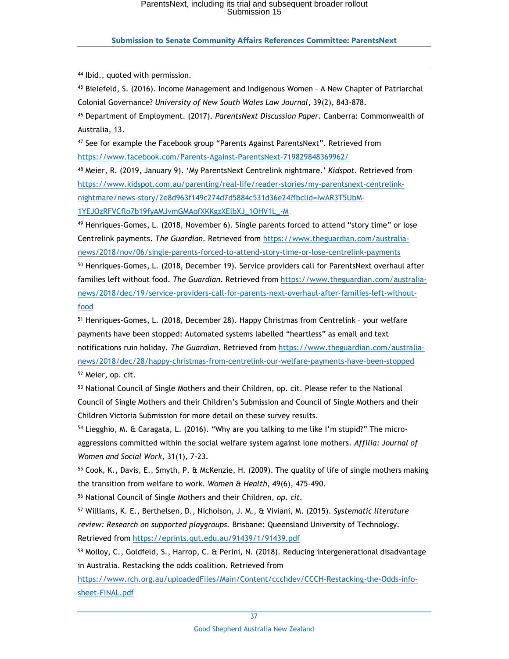#### **Submission to Senate Community Affairs References Committee: ParentsNext**

<sup>44</sup> Ibid., quoted with permission.

i,

<sup>45</sup> Bielefeld, S. (2016). Income Management and Indigenous Women – A New Chapter of Patriarchal Colonial Governance? *University of New South Wales Law Journal*, 39(2), 843-878.

<sup>46</sup> Department of Employment. (2017). *ParentsNext Discussion Paper*. Canberra: Commonwealth of Australia, 13.

<sup>47</sup> See for example the Facebook group "Parents Against ParentsNext". Retrieved from https://www.facebook.com/Parents-Against-ParentsNext-719829848369962/

<sup>48</sup> Meier, R. (2019, January 9). 'My ParentsNext Centrelink nightmare.' *Kidspot*. Retrieved from https://www.kidspot.com.au/parenting/real-life/reader-stories/my-parentsnext-centrelinknightmare/news-story/2e8d963f149c274d7d5884c531d36e24?fbclid=IwAR3T5UbM-1YEJOzRFVCflo7b19fyAMJvmGMAofXKKgzXElbXJ\_1OHV1L\_-M

 $49$  Henriques-Gomes, L. (2018, November 6). Single parents forced to attend "story time" or lose Centrelink payments. *The Guardian.* Retrieved from https://www.theguardian.com/australianews/2018/nov/06/single-parents-forced-to-attend-story-time-or-lose-centrelink-payments <sup>50</sup> Henriques-Gomes, L. (2018, December 19). Service providers call for ParentsNext overhaul after families left without food. *The Guardian*. Retrieved from https://www.theguardian.com/australianews/2018/dec/19/service-providers-call-for-parents-next-overhaul-after-families-left-withoutfood

<sup>51</sup> Henriques-Gomes, L. (2018, December 28). Happy Christmas from Centrelink – your welfare payments have been stopped: Automated systems labelled "heartless" as email and text notifications ruin holiday. *The Guardian*. Retrieved from https://www.theguardian.com/australianews/2018/dec/28/happy-christmas-from-centrelink-our-welfare-payments-have-been-stopped <sup>52</sup> Meier, op. cit.

<sup>53</sup> National Council of Single Mothers and their Children, op. cit. Please refer to the National Council of Single Mothers and their Children's Submission and Council of Single Mothers and their Children Victoria Submission for more detail on these survey results.

<sup>54</sup> Liegghio, M. & Caragata, L. (2016). "Why are you talking to me like I'm stupid?" The microaggressions committed within the social welfare system against lone mothers. *Affilia: Journal of Women and Social Work*, 31(1), 7-23.

<sup>55</sup> Cook, K., Davis, E., Smyth, P. & McKenzie, H. (2009). The quality of life of single mothers making the transition from welfare to work. *Women & Health*, 49(6), 475-490.

<sup>56</sup> National Council of Single Mothers and their Children, *op. cit.*

<sup>57</sup> Williams, K. E., Berthelsen, D., Nicholson, J. M., & Viviani, M. (2015). *Systematic literature review: Research on supported playgroups.* Brisbane: Queensland University of Technology. Retrieved from https://eprints.qut.edu.au/91439/1/91439.pdf

<sup>58</sup> Molloy, C., Goldfeld, S., Harrop, C. & Perini, N. (2018). Reducing intergenerational disadvantage in Australia. Restacking the odds coalition. Retrieved from

https://www.rch.org.au/uploadedFiles/Main/Content/ccchdev/CCCH-Restacking-the-Odds-infosheet-FINAL.pdf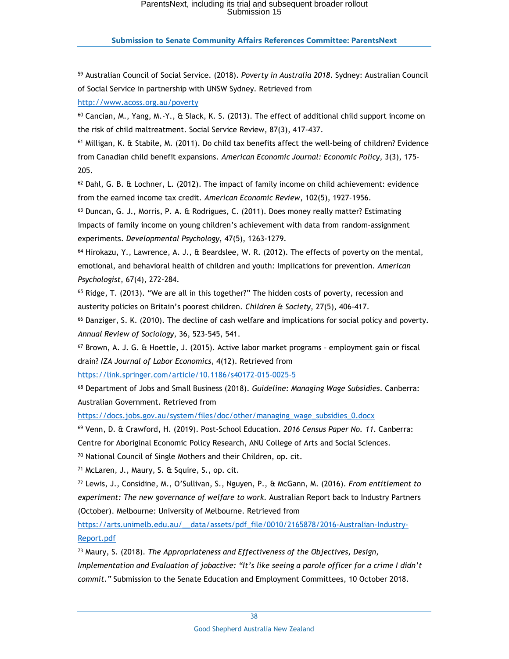### **Submission to Senate Community Affairs References Committee: ParentsNext**

i, <sup>59</sup> Australian Council of Social Service. (2018). *Poverty in Australia 2018*. Sydney: Australian Council of Social Service in partnership with UNSW Sydney. Retrieved from http://www.acoss.org.au/poverty <sup>60</sup> Cancian, M., Yang, M.-Y., & Slack, K. S. (2013). The effect of additional child support income on the risk of child maltreatment. Social Service Review, 87(3), 417-437. <sup>61</sup> Milligan, K. & Stabile, M. (2011). Do child tax benefits affect the well-being of children? Evidence from Canadian child benefit expansions. *American Economic Journal: Economic Policy*, 3(3), 175- 205.  $62$  Dahl, G. B. & Lochner, L. (2012). The impact of family income on child achievement: evidence

from the earned income tax credit. *American Economic Review*, 102(5), 1927-1956.

<sup>63</sup> Duncan, G. J., Morris, P. A. & Rodrigues, C. (2011). Does money really matter? Estimating impacts of family income on young children's achievement with data from random-assignment experiments. *Developmental Psychology*, 47(5), 1263-1279.

<sup>64</sup> Hirokazu, Y., Lawrence, A. J., & Beardslee, W. R. (2012). The effects of poverty on the mental, emotional, and behavioral health of children and youth: Implications for prevention. *American Psychologist*, 67(4), 272-284.

 $65$  Ridge, T. (2013). "We are all in this together?" The hidden costs of poverty, recession and austerity policies on Britain's poorest children. *Children & Society*, 27(5), 406-417.

<sup>66</sup> Danziger, S. K. (2010). The decline of cash welfare and implications for social policy and poverty. *Annual Review of Sociology*, 36, 523-545, 541.

<sup>67</sup> Brown, A. J. G. & Hoettle, J. (2015). Active labor market programs – employment gain or fiscal drain? *IZA Journal of Labor Economics*, 4(12). Retrieved from

https://link.springer.com/article/10.1186/s40172-015-0025-5

<sup>68</sup> Department of Jobs and Small Business (2018). *Guideline: Managing Wage Subsidies*. Canberra: Australian Government. Retrieved from

https://docs.jobs.gov.au/system/files/doc/other/managing\_wage\_subsidies\_0.docx

<sup>69</sup> Venn, D. & Crawford, H. (2019). Post-School Education. *2016 Census Paper No. 11.* Canberra:

Centre for Aboriginal Economic Policy Research, ANU College of Arts and Social Sciences.

<sup>70</sup> National Council of Single Mothers and their Children, op. cit.

<sup>71</sup> McLaren, J., Maury, S. & Squire, S., op. cit.

<sup>72</sup> Lewis, J., Considine, M., O'Sullivan, S., Nguyen, P., & McGann, M. (2016). *From entitlement to experiment: The new governance of welfare to work.* Australian Report back to Industry Partners (October). Melbourne: University of Melbourne. Retrieved from

https://arts.unimelb.edu.au/\_\_data/assets/pdf\_file/0010/2165878/2016-Australian-Industry-Report.pdf

<sup>73</sup> Maury, S. (2018). *The Appropriateness and Effectiveness of the Objectives, Design, Implementation and Evaluation of jobactive: "It's like seeing a parole officer for a crime I didn't commit."* Submission to the Senate Education and Employment Committees, 10 October 2018.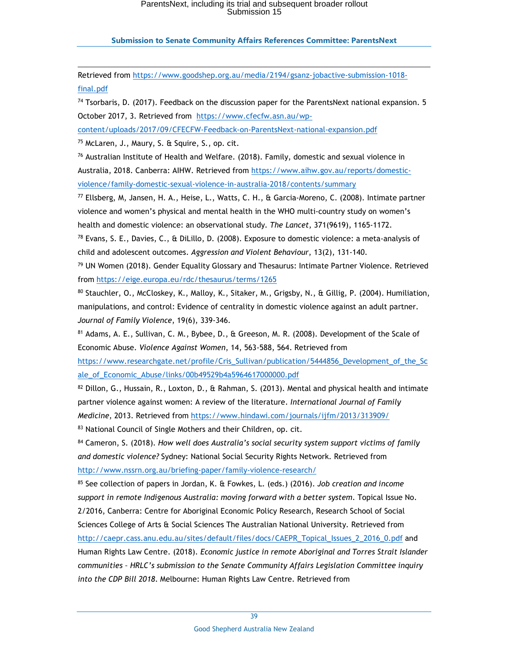#### **Submission to Senate Community Affairs References Committee: ParentsNext**

Retrieved from https://www.goodshep.org.au/media/2194/gsanz-jobactive-submission-1018 final.pdf

 $74$  Tsorbaris, D. (2017). Feedback on the discussion paper for the ParentsNext national expansion. 5 October 2017, 3. Retrieved from https://www.cfecfw.asn.au/wp-

content/uploads/2017/09/CFECFW-Feedback-on-ParentsNext-national-expansion.pdf

<sup>75</sup> McLaren, J., Maury, S. & Squire, S., op. cit.

i,

 $76$  Australian Institute of Health and Welfare. (2018). Family, domestic and sexual violence in Australia, 2018. Canberra: AIHW. Retrieved from https://www.aihw.gov.au/reports/domesticviolence/family-domestic-sexual-violence-in-australia-2018/contents/summary

<sup>77</sup> Ellsberg, M, Jansen, H. A., Heise, L., Watts, C. H., & Garcia-Moreno, C. (2008). Intimate partner violence and women's physical and mental health in the WHO multi-country study on women's health and domestic violence: an observational study. *The Lancet*, 371(9619), 1165-1172.

 $^{78}$  Evans, S. E., Davies, C., & DiLillo, D. (2008). Exposure to domestic violence: a meta-analysis of child and adolescent outcomes. *Aggression and Violent Behaviour*, 13(2), 131-140.

<sup>79</sup> UN Women (2018). Gender Equality Glossary and Thesaurus: Intimate Partner Violence. Retrieved from https://eige.europa.eu/rdc/thesaurus/terms/1265

<sup>80</sup> Stauchler, O., McCloskey, K., Malloy, K., Sitaker, M., Grigsby, N., & Gillig, P. (2004). Humiliation, manipulations, and control: Evidence of centrality in domestic violence against an adult partner. *Journal of Family Violence*, 19(6), 339-346.

<sup>81</sup> Adams, A. E., Sullivan, C. M., Bybee, D., & Greeson, M. R. (2008). Development of the Scale of Economic Abuse. *Violence Against Women*, 14, 563-588, 564. Retrieved from

https://www.researchgate.net/profile/Cris\_Sullivan/publication/5444856\_Development\_of\_the\_Sc ale\_of\_Economic\_Abuse/links/00b49529b4a5964617000000.pdf

 $82$  Dillon, G., Hussain, R., Loxton, D., & Rahman, S. (2013). Mental and physical health and intimate partner violence against women: A review of the literature. *International Journal of Family Medicine*, 2013. Retrieved from https://www.hindawi.com/journals/ijfm/2013/313909/ <sup>83</sup> National Council of Single Mothers and their Children, op. cit.

<sup>84</sup> Cameron, S. (2018). *How well does Australia's social security system support victims of family and domestic violence?* Sydney: National Social Security Rights Network. Retrieved from http://www.nssrn.org.au/briefing-paper/family-violence-research/

<sup>85</sup> See collection of papers in Jordan, K. & Fowkes, L. (eds.) (2016). *Job creation and income support in remote Indigenous Australia: moving forward with a better system*. Topical Issue No. 2/2016, Canberra: Centre for Aboriginal Economic Policy Research, Research School of Social Sciences College of Arts & Social Sciences The Australian National University. Retrieved from http://caepr.cass.anu.edu.au/sites/default/files/docs/CAEPR\_Topical\_Issues\_2\_2016\_0.pdf and Human Rights Law Centre. (2018). *Economic justice in remote Aboriginal and Torres Strait Islander communities – HRLC's submission to the Senate Community Affairs Legislation Committee inquiry into the CDP Bill 2018*. Melbourne: Human Rights Law Centre. Retrieved from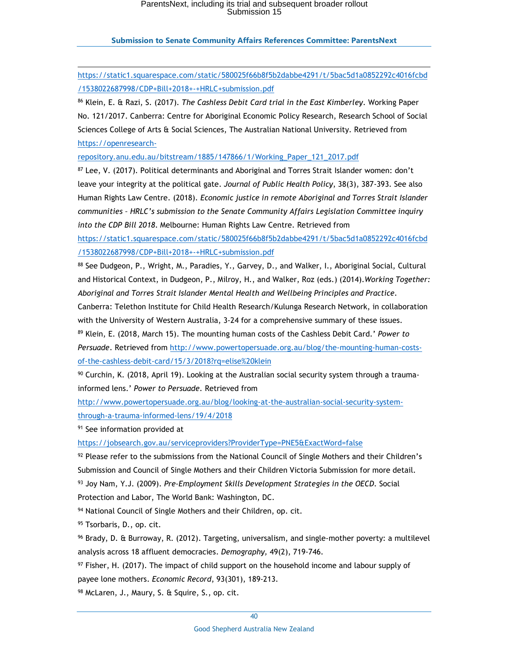### **Submission to Senate Community Affairs References Committee: ParentsNext**

https://static1.squarespace.com/static/580025f66b8f5b2dabbe4291/t/5bac5d1a0852292c4016fcbd /1538022687998/CDP+Bill+2018+-+HRLC+submission.pdf

<sup>86</sup> Klein, E. & Razi, S. (2017). *The Cashless Debit Card trial in the East Kimberley*. Working Paper No. 121/2017. Canberra: Centre for Aboriginal Economic Policy Research, Research School of Social Sciences College of Arts & Social Sciences, The Australian National University. Retrieved from https://openresearch-

repository.anu.edu.au/bitstream/1885/147866/1/Working\_Paper\_121\_2017.pdf

<sup>87</sup> Lee, V. (2017). Political determinants and Aboriginal and Torres Strait Islander women: don't leave your integrity at the political gate. *Journal of Public Health Policy*, 38(3), 387-393. See also Human Rights Law Centre. (2018). *Economic justice in remote Aboriginal and Torres Strait Islander communities – HRLC's submission to the Senate Community Affairs Legislation Committee inquiry into the CDP Bill 2018*. Melbourne: Human Rights Law Centre. Retrieved from

https://static1.squarespace.com/static/580025f66b8f5b2dabbe4291/t/5bac5d1a0852292c4016fcbd /1538022687998/CDP+Bill+2018+-+HRLC+submission.pdf

88 See Dudgeon, P., Wright, M., Paradies, Y., Garvey, D., and Walker, I., Aboriginal Social, Cultural and Historical Context, in Dudgeon, P., Milroy, H., and Walker, Roz (eds.) (2014).*Working Together: Aboriginal and Torres Strait Islander Mental Health and Wellbeing Principles and Practice*.

Canberra: Telethon Institute for Child Health Research/Kulunga Research Network, in collaboration with the University of Western Australia, 3-24 for a comprehensive summary of these issues.

<sup>89</sup> Klein, E. (2018, March 15). The mounting human costs of the Cashless Debit Card.' *Power to Persuade*. Retrieved from http://www.powertopersuade.org.au/blog/the-mounting-human-costsof-the-cashless-debit-card/15/3/2018?rq=elise%20klein

90 Curchin, K. (2018, April 19). Looking at the Australian social security system through a traumainformed lens.' *Power to Persuade*. Retrieved from

http://www.powertopersuade.org.au/blog/looking-at-the-australian-social-security-systemthrough-a-trauma-informed-lens/19/4/2018

<sup>91</sup> See information provided at

i,

https://jobsearch.gov.au/serviceproviders?ProviderType=PNE5&ExactWord=false

 $92$  Please refer to the submissions from the National Council of Single Mothers and their Children's Submission and Council of Single Mothers and their Children Victoria Submission for more detail. <sup>93</sup> Joy Nam, Y.J. (2009). *Pre-Employment Skills Development Strategies in the OECD*. Social Protection and Labor, The World Bank: Washington, DC.

94 National Council of Single Mothers and their Children, op. cit.

95 Tsorbaris, D., op. cit.

<sup>96</sup> Brady, D. & Burroway, R. (2012). Targeting, universalism, and single-mother poverty: a multilevel analysis across 18 affluent democracies. *Demography,* 49(2), 719-746.

 $97$  Fisher, H. (2017). The impact of child support on the household income and labour supply of payee lone mothers. *Economic Record*, 93(301), 189-213.

98 McLaren, J., Maury, S. & Squire, S., op. cit.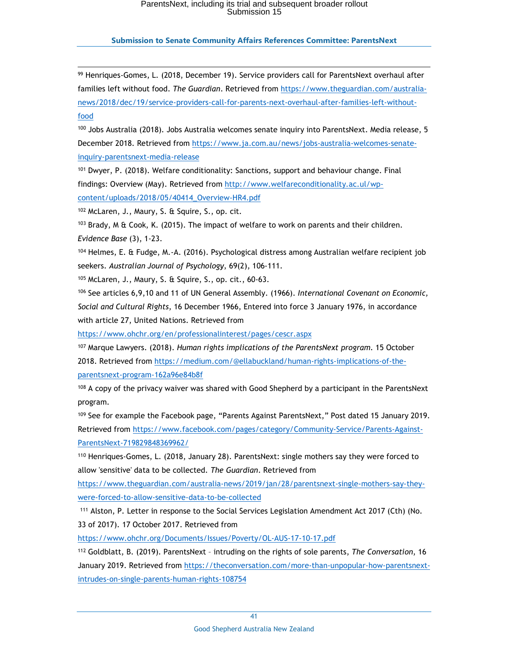i, <sup>99</sup> Henriques-Gomes, L. (2018, December 19). Service providers call for ParentsNext overhaul after families left without food. *The Guardian*. Retrieved from https://www.theguardian.com/australianews/2018/dec/19/service-providers-call-for-parents-next-overhaul-after-families-left-withoutfood

<sup>100</sup> Jobs Australia (2018). Jobs Australia welcomes senate inquiry into ParentsNext. Media release, 5 December 2018. Retrieved from https://www.ja.com.au/news/jobs-australia-welcomes-senateinquiry-parentsnext-media-release

101 Dwyer, P. (2018). Welfare conditionality: Sanctions, support and behaviour change. Final findings: Overview (May). Retrieved from http://www.welfareconditionality.ac.ul/wpcontent/uploads/2018/05/40414\_Overview-HR4.pdf

<sup>102</sup> McLaren, J., Maury, S. & Squire, S., op. cit.

 $103$  Brady, M & Cook, K. (2015). The impact of welfare to work on parents and their children. *Evidence Base* (3), 1-23.

<sup>104</sup> Helmes, E. & Fudge, M.-A. (2016). Psychological distress among Australian welfare recipient job seekers. *Australian Journal of Psychology*, 69(2), 106-111.

<sup>105</sup> McLaren, J., Maury, S. & Squire, S., op. cit., 60-63.

<sup>106</sup> See articles 6,9,10 and 11 of UN General Assembly. (1966). *International Covenant on Economic, Social and Cultural Rights*, 16 December 1966, Entered into force 3 January 1976, in accordance with article 27, United Nations. Retrieved from

https://www.ohchr.org/en/professionalinterest/pages/cescr.aspx

<sup>107</sup> Marque Lawyers. (2018). *Human rights implications of the ParentsNext program.* 15 October 2018. Retrieved from https://medium.com/@ellabuckland/human-rights-implications-of-theparentsnext-program-162a96e84b8f

<sup>108</sup> A copy of the privacy waiver was shared with Good Shepherd by a participant in the ParentsNext program.

<sup>109</sup> See for example the Facebook page, "Parents Against ParentsNext," Post dated 15 January 2019. Retrieved from https://www.facebook.com/pages/category/Community-Service/Parents-Against-ParentsNext-719829848369962/

<sup>110</sup> Henriques-Gomes, L. (2018, January 28). ParentsNext: single mothers say they were forced to allow 'sensitive' data to be collected. *The Guardian*. Retrieved from

https://www.theguardian.com/australia-news/2019/jan/28/parentsnext-single-mothers-say-theywere-forced-to-allow-sensitive-data-to-be-collected

<sup>111</sup> Alston, P. Letter in response to the Social Services Legislation Amendment Act 2017 (Cth) (No. 33 of 2017)*.* 17 October 2017. Retrieved from

https://www.ohchr.org/Documents/Issues/Poverty/OL-AUS-17-10-17.pdf

<sup>112</sup> Goldblatt, B. (2019). ParentsNext – intruding on the rights of sole parents, *The Conversation*, 16 January 2019. Retrieved from https://theconversation.com/more-than-unpopular-how-parentsnextintrudes-on-single-parents-human-rights-108754